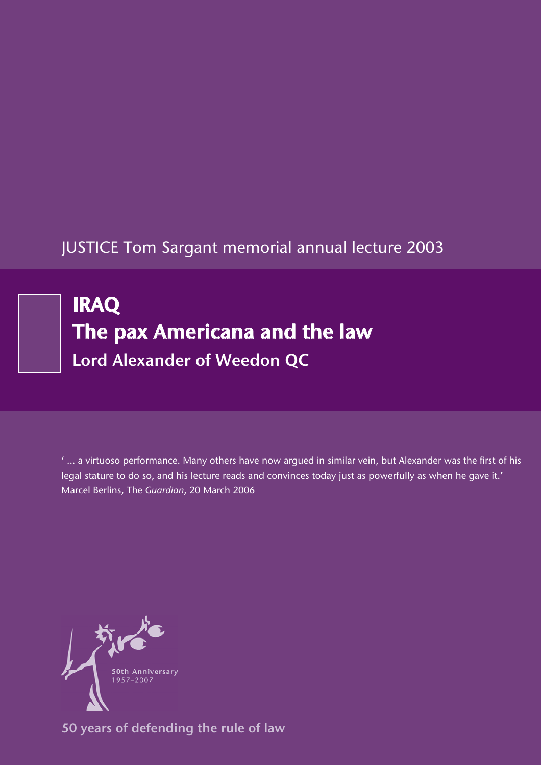# JUSTICE Tom Sargant memorial annual lecture 2003

# IRAQ The pax Americana and the law Lord Alexander of Weedon QC

' ... a virtuoso performance. Many others have now argued in similar vein, but Alexander was the first of his legal stature to do so, and his lecture reads and convinces today just as powerfully as when he gave it.' Marcel Berlins, The *Guardian*, 20 March 2006



50 years of defending the rule of law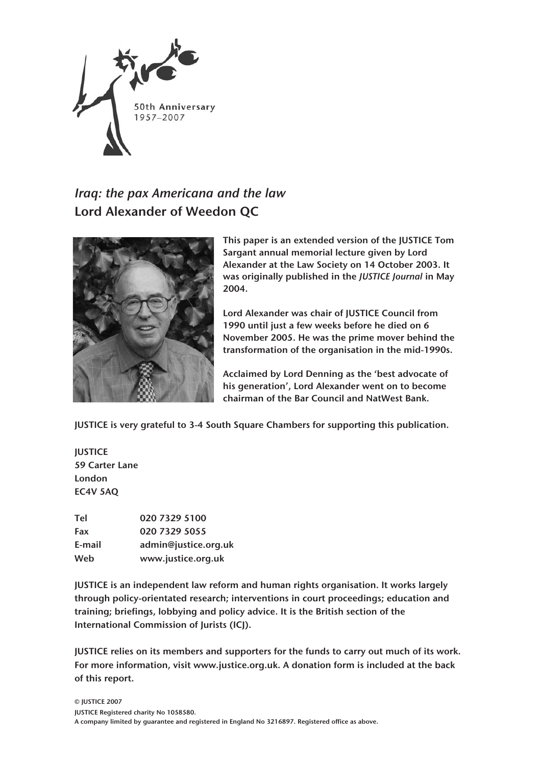

# *Iraq: the pax Americana and the law* Lord Alexander of Weedon QC



This paper is an extended version of the JUSTICE Tom Sargant annual memorial lecture given by Lord Alexander at the Law Society on 14 October 2003. It was originally published in the *JUSTICE Journal* in May 2004.

Lord Alexander was chair of JUSTICE Council from 1990 until just a few weeks before he died on 6 November 2005. He was the prime mover behind the transformation of the organisation in the mid-1990s.

Acclaimed by Lord Denning as the 'best advocate of his generation', Lord Alexander went on to become chairman of the Bar Council and NatWest Bank.

JUSTICE is very grateful to 3-4 South Square Chambers for supporting this publication.

**JUSTICE** 59 Carter Lane London EC4V 5AQ

| Tel    | 020 7329 5100        |
|--------|----------------------|
| Fax    | 020 7329 5055        |
| E-mail | admin@justice.org.uk |
| Web    | www.justice.org.uk   |

JUSTICE is an independent law reform and human rights organisation. It works largely through policy-orientated research; interventions in court proceedings; education and training; briefings, lobbying and policy advice. It is the British section of the International Commission of Jurists (ICJ).

JUSTICE relies on its members and supporters for the funds to carry out much of its work. For more information, visit www.justice.org.uk. A donation form is included at the back of this report.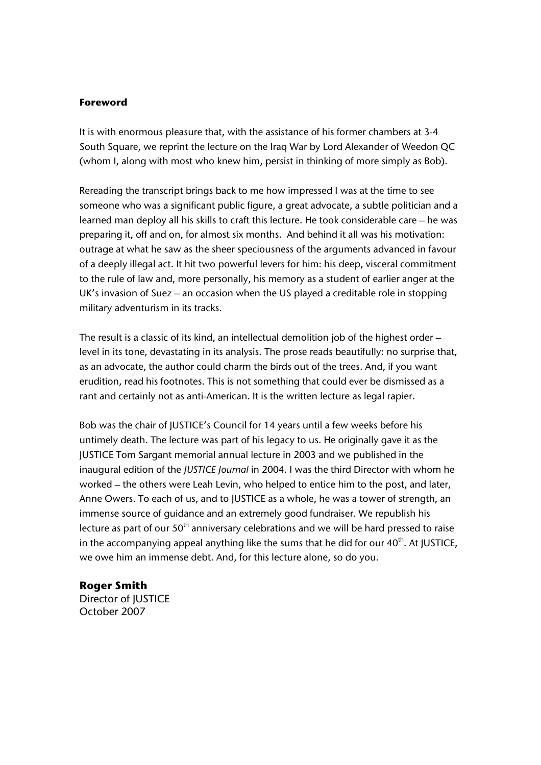### **Foreword**

It is with enormous pleasure that, with the assistance of his former chambers at 3-4 South Square, we reprint the lecture on the Iraq War by Lord Alexander of Weedon QC (whom I, along with most who knew him, persist in thinking of more simply as Bob).

Rereading the transcript brings back to me how impressed I was at the time to see someone who was a significant public figure, a great advocate, a subtle politician and a learned man deploy all his skills to craft this lecture. He took considerable care – he was preparing it, off and on, for almost six months. And behind it all was his motivation: outrage at what he saw as the sheer speciousness of the arguments advanced in favour of a deeply illegal act. It hit two powerful levers for him: his deep, visceral commitment to the rule of law and, more personally, his memory as a student of earlier anger at the UK's invasion of Suez – an occasion when the US played a creditable role in stopping military adventurism in its tracks.

The result is a classic of its kind, an intellectual demolition job of the highest order – level in its tone, devastating in its analysis. The prose reads beautifully: no surprise that, as an advocate, the author could charm the birds out of the trees. And, if you want erudition, read his footnotes. This is not something that could ever be dismissed as a rant and certainly not as anti-American. It is the written lecture as legal rapier.

Bob was the chair of JUSTICE's Council for 14 years until a few weeks before his untimely death. The lecture was part of his legacy to us. He originally gave it as the JUSTICE Tom Sargant memorial annual lecture in 2003 and we published in the inaugural edition of the *JUSTICE Journal* in 2004. I was the third Director with whom he worked – the others were Leah Levin, who helped to entice him to the post, and later, Anne Owers. To each of us, and to JUSTICE as a whole, he was a tower of strength, an immense source of guidance and an extremely good fundraiser. We republish his lecture as part of our  $50<sup>th</sup>$  anniversary celebrations and we will be hard pressed to raise in the accompanying appeal anything like the sums that he did for our  $40^{th}$ . At JUSTICE, we owe him an immense debt. And, for this lecture alone, so do you.

## **Roger Smith**

Director of JUSTICE October 2007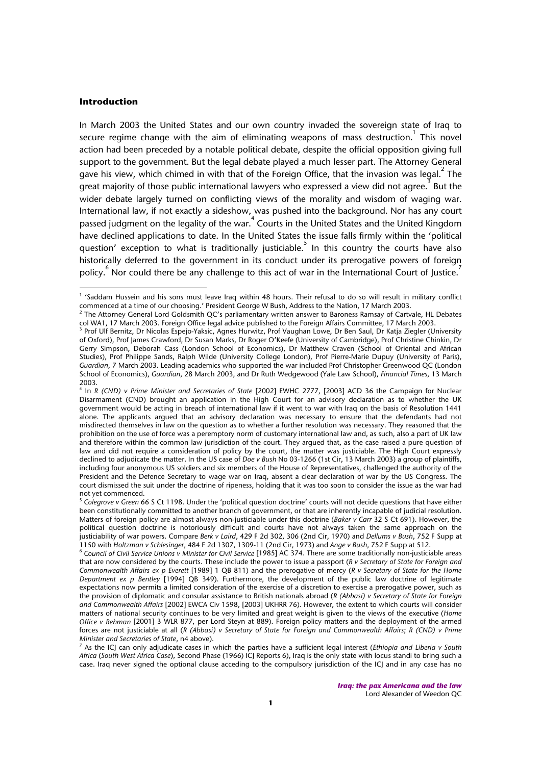#### **Introduction**

l

In March 2003 the United States and our own country invaded the sovereign state of Iraq to secure regime change with the aim of eliminating weapons of mass destruction.<sup>1</sup> This novel action had been preceded by a notable political debate, despite the official opposition giving full support to the government. But the legal debate played a much lesser part. The Attorney General gave his view, which chimed in with that of the Foreign Office, that the invasion was legal. <sup>2</sup> The great majority of those public international lawyers who expressed a view did not agree.  $\overline{3}$  But the wider debate largely turned on conflicting views of the morality and wisdom of waging war. International law, if not exactly a sideshow, was pushed into the background. Nor has any court passed judgment on the legality of the war.<sup>4</sup> Courts in the United States and the United Kingdom have declined applications to date. In the United States the issue falls firmly within the 'political question' exception to what is traditionally justiciable. In this country the courts have also historically deferred to the government in its conduct under its prerogative powers of foreign policy.<sup>6</sup> Nor could there be any challenge to this act of war in the International Court of Justice.<sup>7</sup>

 As the ICJ can only adjudicate cases in which the parties have a sufficient legal interest (*Ethiopia and Liberia v South Africa* (*South West Africa Case*), Second Phase (1966) ICJ Reports 6), Iraq is the only state with locus standi to bring such a case. Iraq never signed the optional clause acceding to the compulsory jurisdiction of the ICJ and in any case has no

<sup>1</sup> 'Saddam Hussein and his sons must leave Iraq within 48 hours. Their refusal to do so will result in military conflict commenced at a time of our choosing.' President George W Bush, Address to the Nation, 17 March 2003.

<sup>2</sup> The Attorney General Lord Goldsmith QC's parliamentary written answer to Baroness Ramsay of Cartvale, HL Debates

col WA1, 17 March 2003. Foreign Office legal advice published to the Foreign Affairs Committee, 17 March 2003.<br><sup>3</sup> Prof Ulf Bernitz, Dr Nicolas Espejo-Yaksic, Agnes Hurwitz, Prof Vaughan Lowe, Dr Ben Saul, Dr Katja Ziegler of Oxford), Prof James Crawford, Dr Susan Marks, Dr Roger O'Keefe (University of Cambridge), Prof Christine Chinkin, Dr Gerry Simpson, Deborah Cass (London School of Economics), Dr Matthew Craven (School of Oriental and African Studies), Prof Philippe Sands, Ralph Wilde (University College London), Prof Pierre-Marie Dupuy (University of Paris), *Guardian*, 7 March 2003. Leading academics who supported the war included Prof Christopher Greenwood QC (London School of Economics), *Guardian*, 28 March 2003, and Dr Ruth Wedgewood (Yale Law School), *Financial Times*, 13 March 2003.

<sup>4</sup> In *R (CND) v Prime Minister and Secretaries of State* [2002] EWHC 2777, [2003] ACD 36 the Campaign for Nuclear Disarmament (CND) brought an application in the High Court for an advisory declaration as to whether the UK government would be acting in breach of international law if it went to war with Iraq on the basis of Resolution 1441 alone. The applicants argued that an advisory declaration was necessary to ensure that the defendants had not misdirected themselves in law on the question as to whether a further resolution was necessary. They reasoned that the prohibition on the use of force was a peremptory norm of customary international law and, as such, also a part of UK law and therefore within the common law jurisdiction of the court. They argued that, as the case raised a pure question of law and did not require a consideration of policy by the court, the matter was justiciable. The High Court expressly declined to adjudicate the matter. In the US case of *Doe v Bush* No 03-1266 (1st Cir, 13 March 2003) a group of plaintiffs, including four anonymous US soldiers and six members of the House of Representatives, challenged the authority of the President and the Defence Secretary to wage war on Iraq, absent a clear declaration of war by the US Congress. The court dismissed the suit under the doctrine of ripeness, holding that it was too soon to consider the issue as the war had not yet commenced.

<sup>5</sup> *Colegrove v Green* 66 S Ct 1198. Under the 'political question doctrine' courts will not decide questions that have either been constitutionally committed to another branch of government, or that are inherently incapable of judicial resolution. Matters of foreign policy are almost always non-justiciable under this doctrine (*Baker v Carr* 32 S Ct 691). However, the political question doctrine is notoriously difficult and courts have not always taken the same approach on the justiciability of war powers. Compare *Berk v Laird*, 429 F 2d 302, 306 (2nd Cir, 1970) and *Dellums v Bush*, 752 F Supp at

<sup>&</sup>lt;sup>6</sup> Council of Civil Service Unions v Minister for Civil Service [1985] AC 374. There are some traditionally non-justiciable areas that are now considered by the courts. These include the power to issue a passport (*R v Secretary of State for Foreign and Commonwealth Affairs ex p Everett* [1989] 1 QB 811) and the prerogative of mercy (*R v Secretary of State for the Home Department ex p Bentley* [1994] QB 349). Furthermore, the development of the public law doctrine of legitimate expectations now permits a limited consideration of the exercise of a discretion to exercise a prerogative power, such as the provision of diplomatic and consular assistance to British nationals abroad (*R (Abbasi) v Secretary of State for Foreign and Commonwealth Affairs* [2002] EWCA Civ 1598, [2003] UKHRR 76). However, the extent to which courts will consider matters of national security continues to be very limited and great weight is given to the views of the executive (*Home Office v Rehman* [2001] 3 WLR 877, per Lord Steyn at 889). Foreign policy matters and the deployment of the armed forces are not justiciable at all (*R (Abbasi) v Secretary of State for Foreign and Commonwealth Affairs*; *R (CND) v Prime Minister and Secretaries of State, n4 above).*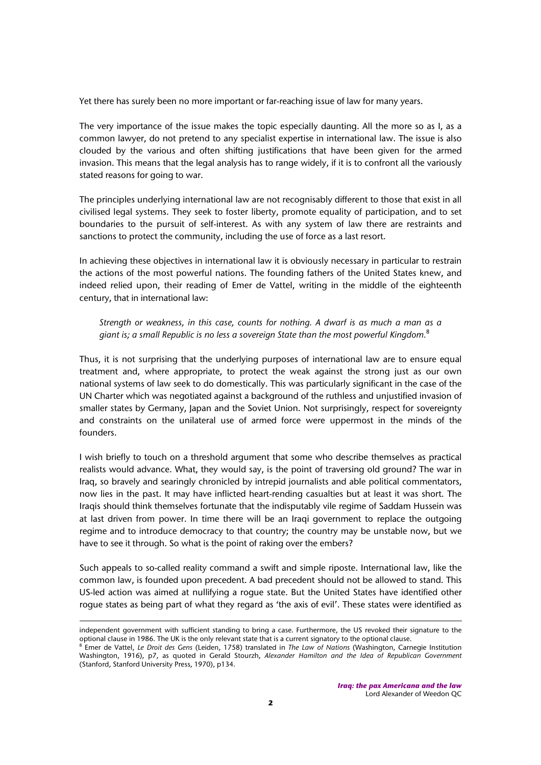Yet there has surely been no more important or far-reaching issue of law for many years.

The very importance of the issue makes the topic especially daunting. All the more so as I, as a common lawyer, do not pretend to any specialist expertise in international law. The issue is also clouded by the various and often shifting justifications that have been given for the armed invasion. This means that the legal analysis has to range widely, if it is to confront all the variously stated reasons for going to war.

The principles underlying international law are not recognisably different to those that exist in all civilised legal systems. They seek to foster liberty, promote equality of participation, and to set boundaries to the pursuit of self-interest. As with any system of law there are restraints and sanctions to protect the community, including the use of force as a last resort.

In achieving these objectives in international law it is obviously necessary in particular to restrain the actions of the most powerful nations. The founding fathers of the United States knew, and indeed relied upon, their reading of Emer de Vattel, writing in the middle of the eighteenth century, that in international law:

*Strength or weakness, in this case, counts for nothing. A dwarf is as much a man as a giant is; a small Republic is no less a sovereign State than the most powerful Kingdom.*<sup>8</sup>

Thus, it is not surprising that the underlying purposes of international law are to ensure equal treatment and, where appropriate, to protect the weak against the strong just as our own national systems of law seek to do domestically. This was particularly significant in the case of the UN Charter which was negotiated against a background of the ruthless and unjustified invasion of smaller states by Germany, Japan and the Soviet Union. Not surprisingly, respect for sovereignty and constraints on the unilateral use of armed force were uppermost in the minds of the founders.

I wish briefly to touch on a threshold argument that some who describe themselves as practical realists would advance. What, they would say, is the point of traversing old ground? The war in Iraq, so bravely and searingly chronicled by intrepid journalists and able political commentators, now lies in the past. It may have inflicted heart-rending casualties but at least it was short. The Iraqis should think themselves fortunate that the indisputably vile regime of Saddam Hussein was at last driven from power. In time there will be an Iraqi government to replace the outgoing regime and to introduce democracy to that country; the country may be unstable now, but we have to see it through. So what is the point of raking over the embers?

Such appeals to so-called reality command a swift and simple riposte. International law, like the common law, is founded upon precedent. A bad precedent should not be allowed to stand. This US-led action was aimed at nullifying a rogue state. But the United States have identified other rogue states as being part of what they regard as 'the axis of evil'. These states were identified as

independent government with sufficient standing to bring a case. Furthermore, the US revoked their signature to the optional clause in 1986. The UK is the only relevant state that is a current signatory to the optional clause.

Emer de Vattel, *Le Droit des Gens* (Leiden, 1758) translated in *The Law of Nations* (Washington, Carnegie Institution Washington, 1916), p7, as quoted in Gerald Stourzh, *Alexander Hamilton and the Idea of Republican Government* (Stanford, Stanford University Press, 1970), p134.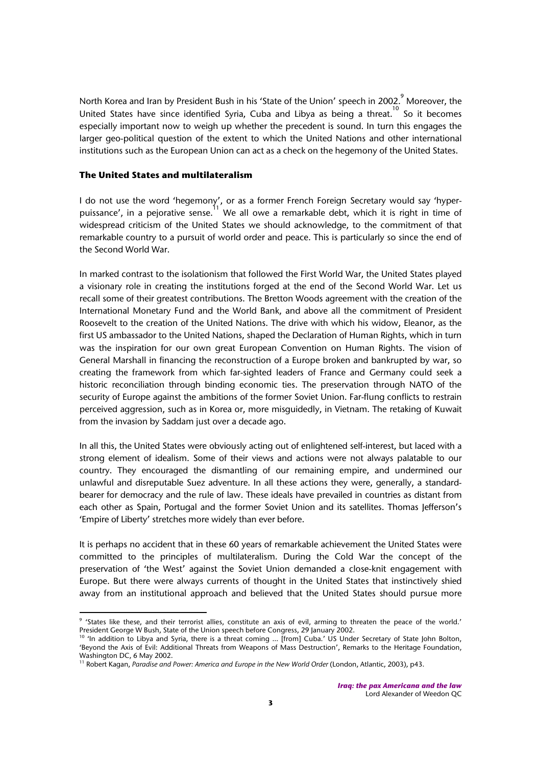North Korea and Iran by President Bush in his 'State of the Union' speech in 2002. $\degree$  Moreover, the United States have since identified Syria, Cuba and Libya as being a threat.<sup>10</sup> So it becomes especially important now to weigh up whether the precedent is sound. In turn this engages the larger geo-political question of the extent to which the United Nations and other international institutions such as the European Union can act as a check on the hegemony of the United States.

#### **The United States and multilateralism**

I do not use the word 'hegemony', or as a former French Foreign Secretary would say 'hyperpuissance', in a pejorative sense.<sup>11</sup> We all owe a remarkable debt, which it is right in time of widespread criticism of the United States we should acknowledge, to the commitment of that remarkable country to a pursuit of world order and peace. This is particularly so since the end of the Second World War.

In marked contrast to the isolationism that followed the First World War, the United States played a visionary role in creating the institutions forged at the end of the Second World War. Let us recall some of their greatest contributions. The Bretton Woods agreement with the creation of the International Monetary Fund and the World Bank, and above all the commitment of President Roosevelt to the creation of the United Nations. The drive with which his widow, Eleanor, as the first US ambassador to the United Nations, shaped the Declaration of Human Rights, which in turn was the inspiration for our own great European Convention on Human Rights. The vision of General Marshall in financing the reconstruction of a Europe broken and bankrupted by war, so creating the framework from which far-sighted leaders of France and Germany could seek a historic reconciliation through binding economic ties. The preservation through NATO of the security of Europe against the ambitions of the former Soviet Union. Far-flung conflicts to restrain perceived aggression, such as in Korea or, more misguidedly, in Vietnam. The retaking of Kuwait from the invasion by Saddam just over a decade ago.

In all this, the United States were obviously acting out of enlightened self-interest, but laced with a strong element of idealism. Some of their views and actions were not always palatable to our country. They encouraged the dismantling of our remaining empire, and undermined our unlawful and disreputable Suez adventure. In all these actions they were, generally, a standardbearer for democracy and the rule of law. These ideals have prevailed in countries as distant from each other as Spain, Portugal and the former Soviet Union and its satellites. Thomas lefferson's 'Empire of Liberty' stretches more widely than ever before.

It is perhaps no accident that in these 60 years of remarkable achievement the United States were committed to the principles of multilateralism. During the Cold War the concept of the preservation of 'the West' against the Soviet Union demanded a close-knit engagement with Europe. But there were always currents of thought in the United States that instinctively shied away from an institutional approach and believed that the United States should pursue more

 9 'States like these, and their terrorist allies, constitute an axis of evil, arming to threaten the peace of the world.' President George W Bush, State of the Union speech before Congress, 29 January 2002.

<sup>10 &#</sup>x27;In addition to Libya and Syria, there is a threat coming ... [from] Cuba.' US Under Secretary of State John Bolton, 'Beyond the Axis of Evil: Additional Threats from Weapons of Mass Destruction', Remarks to the Heritage Foundation, Washington DC, 6 May 2002.

<sup>11</sup> Robert Kagan, *Paradise and Power: America and Europe in the New World Order* (London, Atlantic, 2003), p43.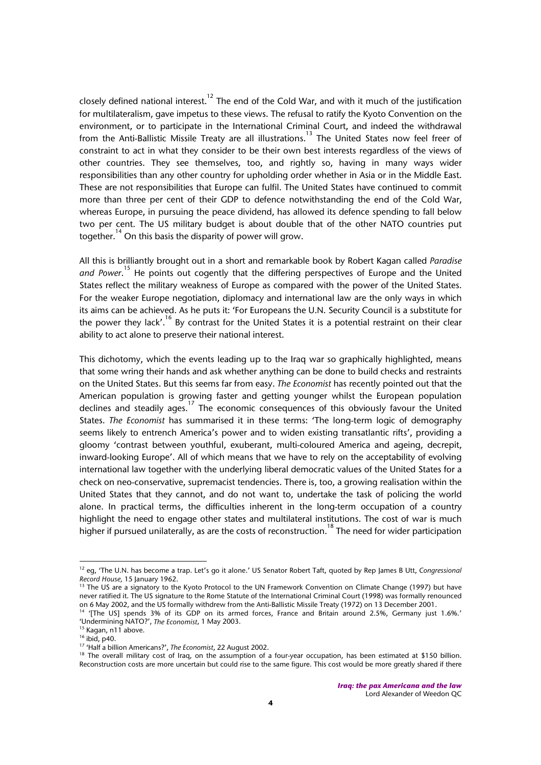closely defined national interest.<sup>12</sup> The end of the Cold War, and with it much of the justification for multilateralism, gave impetus to these views. The refusal to ratify the Kyoto Convention on the environment, or to participate in the International Criminal Court, and indeed the withdrawal from the Anti-Ballistic Missile Treaty are all illustrations.<sup>13</sup> The United States now feel freer of constraint to act in what they consider to be their own best interests regardless of the views of other countries. They see themselves, too, and rightly so, having in many ways wider responsibilities than any other country for upholding order whether in Asia or in the Middle East. These are not responsibilities that Europe can fulfil. The United States have continued to commit more than three per cent of their GDP to defence notwithstanding the end of the Cold War, whereas Europe, in pursuing the peace dividend, has allowed its defence spending to fall below two per cent. The US military budget is about double that of the other NATO countries put together.<sup>14</sup> On this basis the disparity of power will grow.

All this is brilliantly brought out in a short and remarkable book by Robert Kagan called *Paradise*  and Power.<sup>15</sup> He points out cogently that the differing perspectives of Europe and the United States reflect the military weakness of Europe as compared with the power of the United States. For the weaker Europe negotiation, diplomacy and international law are the only ways in which its aims can be achieved. As he puts it: 'For Europeans the U.N. Security Council is a substitute for the power they lack'.<sup>16</sup> By contrast for the United States it is a potential restraint on their clear ability to act alone to preserve their national interest.

This dichotomy, which the events leading up to the Iraq war so graphically highlighted, means that some wring their hands and ask whether anything can be done to build checks and restraints on the United States. But this seems far from easy. *The Economist* has recently pointed out that the American population is growing faster and getting younger whilst the European population declines and steadily ages.<sup>17</sup> The economic consequences of this obviously favour the United States. *The Economist* has summarised it in these terms: 'The long-term logic of demography seems likely to entrench America's power and to widen existing transatlantic rifts', providing a gloomy 'contrast between youthful, exuberant, multi-coloured America and ageing, decrepit, inward-looking Europe'. All of which means that we have to rely on the acceptability of evolving international law together with the underlying liberal democratic values of the United States for a check on neo-conservative, supremacist tendencies. There is, too, a growing realisation within the United States that they cannot, and do not want to, undertake the task of policing the world alone. In practical terms, the difficulties inherent in the long-term occupation of a country highlight the need to engage other states and multilateral institutions. The cost of war is much higher if pursued unilaterally, as are the costs of reconstruction.<sup>18</sup> The need for wider participation

 $\overline{a}$ 

<sup>12</sup> eg, 'The U.N. has become a trap. Let's go it alone.' US Senator Robert Taft, quoted by Rep James B Utt, *Congressional* 

*Record House, 15 January 1962.*<br>*Record House, 15 January 1962.* 13 The US are a signatory to the Kyoto Protocol to the UN Framework Convention on Climate Change (1997) but have never ratified it. The US signature to the Rome Statute of the International Criminal Court (1998) was formally renounced<br>on 6 May 2002, and the US formally withdrew from the Anti-Ballistic Missile Treaty (1972) on 13 Dece on 6 May 2002, and the US formally withdrew from the Anti-Ballistic Missile Treaty (1972) on 13 December 2001.<br><sup>14</sup> '[The US] spends 3% of its GDP on its armed forces, France and Britain around 2.5%, Germany just 1.6%.'

<sup>&#</sup>x27;Undermining NATO?', *The Economist,* 1 May 2003.<br><sup>15</sup> Kagan, n11 above.

<sup>16</sup> ibid, p40.<br><sup>16</sup> ibid, p40.<br><sup>17</sup> 'Half a billion Americans?', *The Economist*, 22 August 2002.<br><sup>18</sup> The overall military cost of Iraq, on the assumption of a four-year occupation, has been estimated at \$150 billion. Reconstruction costs are more uncertain but could rise to the same figure. This cost would be more greatly shared if there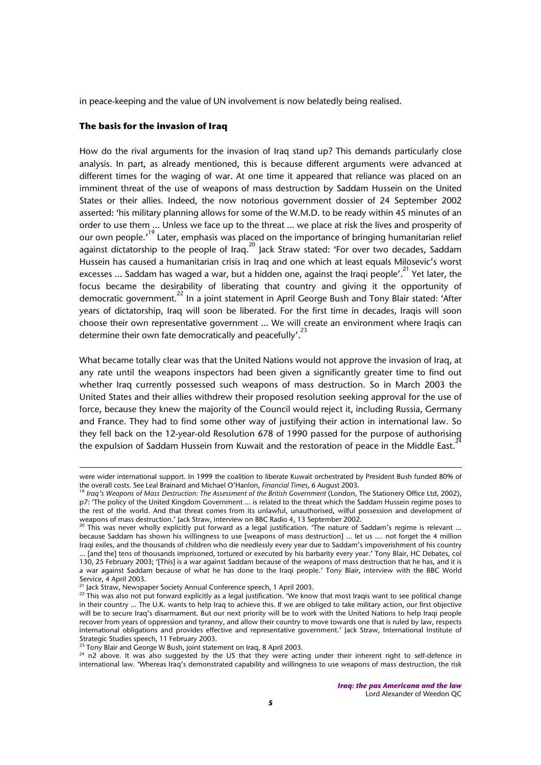in peace-keeping and the value of UN involvement is now belatedly being realised.

#### **The basis for the invasion of Iraq**

How do the rival arguments for the invasion of Iraq stand up? This demands particularly close analysis. In part, as already mentioned, this is because different arguments were advanced at different times for the waging of war. At one time it appeared that reliance was placed on an imminent threat of the use of weapons of mass destruction by Saddam Hussein on the United States or their allies. Indeed, the now notorious government dossier of 24 September 2002 asserted: 'his military planning allows for some of the W.M.D. to be ready within 45 minutes of an order to use them … Unless we face up to the threat … we place at risk the lives and prosperity of our own people.'<sup>19</sup> Later, emphasis was placed on the importance of bringing humanitarian relief against dictatorship to the people of Iraq.<sup>20</sup> Jack Straw stated: 'For over two decades, Saddam Hussein has caused a humanitarian crisis in Iraq and one which at least equals Milosevic's worst excesses ... Saddam has waged a war, but a hidden one, against the Iraqi people'.<sup>21</sup> Yet later. the focus became the desirability of liberating that country and giving it the opportunity of democratic government.<sup>22</sup> In a joint statement in April George Bush and Tony Blair stated: 'After years of dictatorship, Iraq will soon be liberated. For the first time in decades, Iraqis will soon choose their own representative government … We will create an environment where Iraqis can determine their own fate democratically and peacefully'.<sup>23</sup>

What became totally clear was that the United Nations would not approve the invasion of Iraq, at any rate until the weapons inspectors had been given a significantly greater time to find out whether Iraq currently possessed such weapons of mass destruction. So in March 2003 the United States and their allies withdrew their proposed resolution seeking approval for the use of force, because they knew the majority of the Council would reject it, including Russia, Germany and France. They had to find some other way of justifying their action in international law. So they fell back on the 12-year-old Resolution 678 of 1990 passed for the purpose of authorising the expulsion of Saddam Hussein from Kuwait and the restoration of peace in the Middle East.

were wider international support. In 1999 the coalition to liberate Kuwait orchestrated by President Bush funded 80% of the overall costs. See Leal Brainard and Michael O'Hanlon, *Financial Times*, 6 August 2003.

<sup>&</sup>lt;sup>19</sup> Iraq's Weapons of Mass Destruction: The Assessment of the British Government (London, The Stationery Office Ltd, 2002), p7: 'The policy of the United Kingdom Government … is related to the threat which the Saddam Hussein regime poses to the rest of the world. And that threat comes from its unlawful, unauthorised, wilful possession and development of weapons of mass destruction.' Jack Straw, interview on BBC Radio 4, 13 September 2002.<br><sup>20</sup> This was never wholly explicitly put forward as a legal justification. 'The nature of Saddam's regime is relevant ...

because Saddam has shown his willingness to use [weapons of mass destruction] … let us .… not forget the 4 million Iraqi exiles, and the thousands of children who die needlessly every year due to Saddam's impoverishment of his country … [and the] tens of thousands imprisoned, tortured or executed by his barbarity every year.' Tony Blair, HC Debates, col 130, 25 February 2003; '[This] is a war against Saddam because of the weapons of mass destruction that he has, and it is a war against Saddam because of what he has done to the Iraqi people.' Tony Blair, interview with the BBC World Service, 4 April 2003.

Jack Straw, Newspaper Society Annual Conference speech, 1 April 2003.

<sup>22</sup> This was also not put forward explicitly as a legal justification. 'We know that most Iraqis want to see political change in their country … The U.K. wants to help Iraq to achieve this. If we are obliged to take military action, our first objective will be to secure Iraq's disarmament. But our next priority will be to work with the United Nations to help Iraqi people recover from years of oppression and tyranny, and allow their country to move towards one that is ruled by law, respects international obligations and provides effective and representative government.' Jack Straw, International Institute of Strategic Studies speech, 11 February 2003.

<sup>&</sup>lt;sup>23</sup> Tony Blair and George W Bush, joint statement on Iraq, 8 April 2003.

<sup>24</sup> n2 above. It was also suggested by the US that they were acting under their inherent right to self-defence in international law. 'Whereas Iraq's demonstrated capability and willingness to use weapons of mass destruction, the risk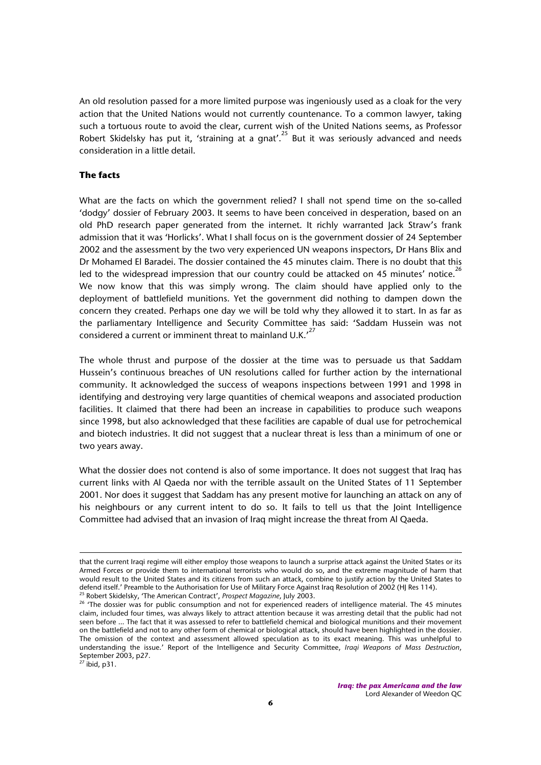An old resolution passed for a more limited purpose was ingeniously used as a cloak for the very action that the United Nations would not currently countenance. To a common lawyer, taking such a tortuous route to avoid the clear, current wish of the United Nations seems, as Professor Robert Skidelsky has put it, 'straining at a gnat'.<sup>25</sup> But it was seriously advanced and needs consideration in a little detail.

#### **The facts**

What are the facts on which the government relied? I shall not spend time on the so-called 'dodgy' dossier of February 2003. It seems to have been conceived in desperation, based on an old PhD research paper generated from the internet. It richly warranted Jack Straw's frank admission that it was 'Horlicks'. What I shall focus on is the government dossier of 24 September 2002 and the assessment by the two very experienced UN weapons inspectors, Dr Hans Blix and Dr Mohamed El Baradei. The dossier contained the 45 minutes claim. There is no doubt that this led to the widespread impression that our country could be attacked on 45 minutes' notice.<sup>26</sup> We now know that this was simply wrong. The claim should have applied only to the deployment of battlefield munitions. Yet the government did nothing to dampen down the concern they created. Perhaps one day we will be told why they allowed it to start. In as far as the parliamentary Intelligence and Security Committee has said: 'Saddam Hussein was not considered a current or imminent threat to mainland U.K.<sup> $27$ </sup>

The whole thrust and purpose of the dossier at the time was to persuade us that Saddam Hussein's continuous breaches of UN resolutions called for further action by the international community. It acknowledged the success of weapons inspections between 1991 and 1998 in identifying and destroying very large quantities of chemical weapons and associated production facilities. It claimed that there had been an increase in capabilities to produce such weapons since 1998, but also acknowledged that these facilities are capable of dual use for petrochemical and biotech industries. It did not suggest that a nuclear threat is less than a minimum of one or two years away.

What the dossier does not contend is also of some importance. It does not suggest that Iraq has current links with Al Qaeda nor with the terrible assault on the United States of 11 September 2001. Nor does it suggest that Saddam has any present motive for launching an attack on any of his neighbours or any current intent to do so. It fails to tell us that the Joint Intelligence Committee had advised that an invasion of Iraq might increase the threat from Al Qaeda.

 $^{27}$  ibid, p31.

that the current Iraqi regime will either employ those weapons to launch a surprise attack against the United States or its Armed Forces or provide them to international terrorists who would do so, and the extreme magnitude of harm that would result to the United States and its citizens from such an attack, combine to justify action by the United States to defend itself.' Preamble to the Authorisation for Use of Military Force Against Iraq Resolution of 2

<sup>25</sup> Robert Skidelsky, 'The American Contract', *Prospect Magazine*, July 2003.<br><sup>26</sup> The dossier was for public consumption and not for experienced readers of intelligence material. The 45 minutes claim, included four times, was always likely to attract attention because it was arresting detail that the public had not seen before … The fact that it was assessed to refer to battlefield chemical and biological munitions and their movement on the battlefield and not to any other form of chemical or biological attack, should have been highlighted in the dossier. The omission of the context and assessment allowed speculation as to its exact meaning. This was unhelpful to understanding the issue.' Report of the Intelligence and Security Committee, *Iraqi Weapons of Mass Destruction*, September 2003, p27.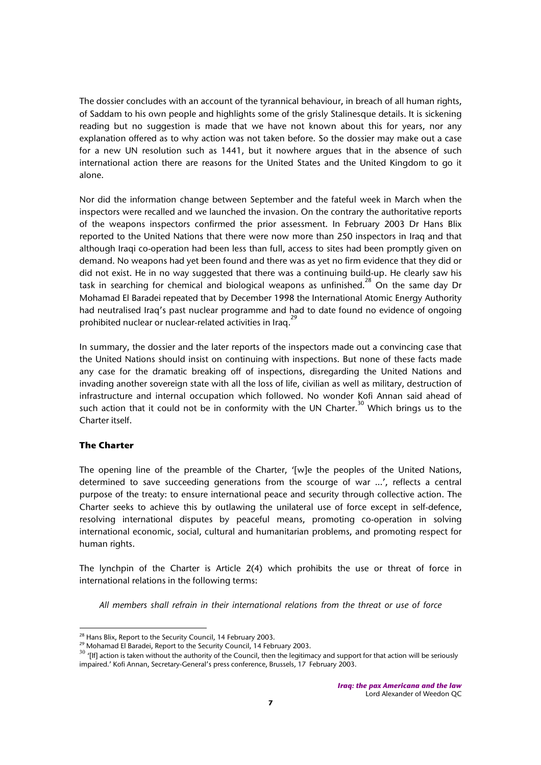The dossier concludes with an account of the tyrannical behaviour, in breach of all human rights, of Saddam to his own people and highlights some of the grisly Stalinesque details. It is sickening reading but no suggestion is made that we have not known about this for years, nor any explanation offered as to why action was not taken before. So the dossier may make out a case for a new UN resolution such as 1441, but it nowhere argues that in the absence of such international action there are reasons for the United States and the United Kingdom to go it alone.

Nor did the information change between September and the fateful week in March when the inspectors were recalled and we launched the invasion. On the contrary the authoritative reports of the weapons inspectors confirmed the prior assessment. In February 2003 Dr Hans Blix reported to the United Nations that there were now more than 250 inspectors in Iraq and that although Iraqi co-operation had been less than full, access to sites had been promptly given on demand. No weapons had yet been found and there was as yet no firm evidence that they did or did not exist. He in no way suggested that there was a continuing build-up. He clearly saw his task in searching for chemical and biological weapons as unfinished.<sup>28</sup> On the same day Dr Mohamad El Baradei repeated that by December 1998 the International Atomic Energy Authority had neutralised Iraq's past nuclear programme and had to date found no evidence of ongoing prohibited nuclear or nuclear-related activities in Iraq.<sup>29</sup>

In summary, the dossier and the later reports of the inspectors made out a convincing case that the United Nations should insist on continuing with inspections. But none of these facts made any case for the dramatic breaking off of inspections, disregarding the United Nations and invading another sovereign state with all the loss of life, civilian as well as military, destruction of infrastructure and internal occupation which followed. No wonder Kofi Annan said ahead of such action that it could not be in conformity with the UN Charter.<sup>30</sup> Which brings us to the Charter itself.

#### **The Charter**

 $\overline{a}$ 

The opening line of the preamble of the Charter, '[w]e the peoples of the United Nations, determined to save succeeding generations from the scourge of war …', reflects a central purpose of the treaty: to ensure international peace and security through collective action. The Charter seeks to achieve this by outlawing the unilateral use of force except in self-defence, resolving international disputes by peaceful means, promoting co-operation in solving international economic, social, cultural and humanitarian problems, and promoting respect for human rights.

The lynchpin of the Charter is Article 2(4) which prohibits the use or threat of force in international relations in the following terms:

*All members shall refrain in their international relations from the threat or use of force* 

<sup>&</sup>lt;sup>28</sup> Hans Blix, Report to the Security Council, 14 February 2003.

<sup>&</sup>lt;sup>29</sup> Mohamad El Baradei, Report to the Security Council, 14 February 2003.

<sup>&</sup>lt;sup>30</sup> '[If] action is taken without the authority of the Council, then the legitimacy and support for that action will be seriously impaired.' Kofi Annan, Secretary-General's press conference, Brussels, 17 February 2003.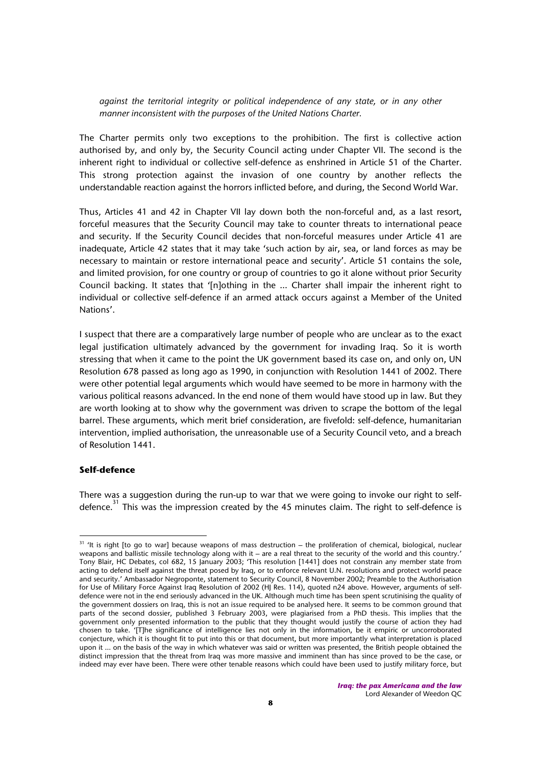*against the territorial integrity or political independence of any state, or in any other manner inconsistent with the purposes of the United Nations Charter.* 

The Charter permits only two exceptions to the prohibition. The first is collective action authorised by, and only by, the Security Council acting under Chapter VII. The second is the inherent right to individual or collective self-defence as enshrined in Article 51 of the Charter. This strong protection against the invasion of one country by another reflects the understandable reaction against the horrors inflicted before, and during, the Second World War.

Thus, Articles 41 and 42 in Chapter VII lay down both the non-forceful and, as a last resort, forceful measures that the Security Council may take to counter threats to international peace and security. If the Security Council decides that non-forceful measures under Article 41 are inadequate, Article 42 states that it may take 'such action by air, sea, or land forces as may be necessary to maintain or restore international peace and security'. Article 51 contains the sole, and limited provision, for one country or group of countries to go it alone without prior Security Council backing. It states that '[n]othing in the … Charter shall impair the inherent right to individual or collective self-defence if an armed attack occurs against a Member of the United Nations'.

I suspect that there are a comparatively large number of people who are unclear as to the exact legal justification ultimately advanced by the government for invading Iraq. So it is worth stressing that when it came to the point the UK government based its case on, and only on, UN Resolution 678 passed as long ago as 1990, in conjunction with Resolution 1441 of 2002. There were other potential legal arguments which would have seemed to be more in harmony with the various political reasons advanced. In the end none of them would have stood up in law. But they are worth looking at to show why the government was driven to scrape the bottom of the legal barrel. These arguments, which merit brief consideration, are fivefold: self-defence, humanitarian intervention, implied authorisation, the unreasonable use of a Security Council veto, and a breach of Resolution 1441.

#### **Self-defence**

 $\overline{a}$ 

There was a suggestion during the run-up to war that we were going to invoke our right to selfdefence.<sup>31</sup> This was the impression created by the 45 minutes claim. The right to self-defence is

 $31$  'It is right [to go to war] because weapons of mass destruction – the proliferation of chemical, biological, nuclear weapons and ballistic missile technology along with it – are a real threat to the security of the world and this country.' Tony Blair, HC Debates, col 682, 15 January 2003; 'This resolution [1441] does not constrain any member state from acting to defend itself against the threat posed by Iraq, or to enforce relevant U.N. resolutions and protect world peace and security.' Ambassador Negroponte, statement to Security Council, 8 November 2002; Preamble to the Authorisation for Use of Military Force Against Iraq Resolution of 2002 (HJ Res. 114), quoted n24 above. However, arguments of selfdefence were not in the end seriously advanced in the UK. Although much time has been spent scrutinising the quality of the government dossiers on Iraq, this is not an issue required to be analysed here. It seems to be common ground that parts of the second dossier, published 3 February 2003, were plagiarised from a PhD thesis. This implies that the government only presented information to the public that they thought would justify the course of action they had chosen to take. '[T]he significance of intelligence lies not only in the information, be it empiric or uncorroborated conjecture, which it is thought fit to put into this or that document, but more importantly what interpretation is placed upon it … on the basis of the way in which whatever was said or written was presented, the British people obtained the distinct impression that the threat from Iraq was more massive and imminent than has since proved to be the case, or indeed may ever have been. There were other tenable reasons which could have been used to justify military force, but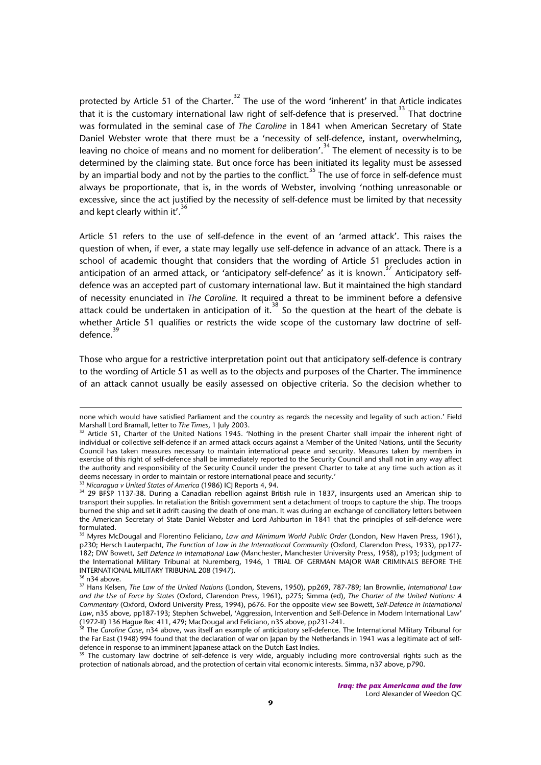protected by Article 51 of the Charter.<sup>32</sup> The use of the word 'inherent' in that Article indicates that it is the customary international law right of self-defence that is preserved.<sup>33</sup> That doctrine was formulated in the seminal case of *The Caroline* in 1841 when American Secretary of State Daniel Webster wrote that there must be a 'necessity of self-defence, instant, overwhelming, leaving no choice of means and no moment for deliberation'.<sup>34</sup> The element of necessity is to be determined by the claiming state. But once force has been initiated its legality must be assessed by an impartial body and not by the parties to the conflict.<sup>35</sup> The use of force in self-defence must always be proportionate, that is, in the words of Webster, involving 'nothing unreasonable or excessive, since the act justified by the necessity of self-defence must be limited by that necessity and kept clearly within it'. $\frac{3}{5}$ 

Article 51 refers to the use of self-defence in the event of an 'armed attack'. This raises the question of when, if ever, a state may legally use self-defence in advance of an attack. There is a school of academic thought that considers that the wording of Article 51 precludes action in anticipation of an armed attack, or 'anticipatory self-defence' as it is known.<sup>37</sup> Anticipatory selfdefence was an accepted part of customary international law. But it maintained the high standard of necessity enunciated in *The Caroline.* It required a threat to be imminent before a defensive attack could be undertaken in anticipation of it.<sup>38</sup> So the question at the heart of the debate is whether Article 51 qualifies or restricts the wide scope of the customary law doctrine of selfdefence.<sup>3</sup>

Those who argue for a restrictive interpretation point out that anticipatory self-defence is contrary to the wording of Article 51 as well as to the objects and purposes of the Charter. The imminence of an attack cannot usually be easily assessed on objective criteria. So the decision whether to

l

none which would have satisfied Parliament and the country as regards the necessity and legality of such action.' Field Marshall Lord Bramall, letter to *The Times*, 1 July 2003.<br><sup>32</sup> Article 51, Charter of the United Nations 1945. 'Nothing in the present Charter shall impair the inherent right of

individual or collective self-defence if an armed attack occurs against a Member of the United Nations, until the Security Council has taken measures necessary to maintain international peace and security. Measures taken by members in exercise of this right of self-defence shall be immediately reported to the Security Council and shall not in any way affect the authority and responsibility of the Security Council under the present Charter to take at any time such action as it deems necessary in order to maintain or restore international peace and security.'<br><sup>33</sup> Nicaraaua v United States of America (1986) ICJ Reports 4, 94.

<sup>&</sup>lt;sup>34</sup> 29 BFSP 1137-38. During a Canadian rebellion against British rule in 1837, insurgents used an American ship to transport their supplies. In retaliation the British government sent a detachment of troops to capture the ship. The troops burned the ship and set it adrift causing the death of one man. It was during an exchange of conciliatory letters between the American Secretary of State Daniel Webster and Lord Ashburton in 1841 that the principles of self-defence were formulated.

<sup>35</sup> Myres McDougal and Florentino Feliciano, *Law and Minimum World Public Order* (London, New Haven Press, 1961), p230; Hersch Lauterpacht, *The Function of Law in the International Community* (Oxford, Clarendon Press, 1933), pp177- 182; DW Bowett, *Self Defence in International Law* (Manchester, Manchester University Press, 1958), p193; Judgment of the International Military Tribunal at Nuremberg, 1946, 1 TRIAL OF GERMAN MAJOR WAR CRIMINALS BEFORE THE INTERNATIONAL MILITARY TRIBUNAL 208 (1947).

 $36$  n34 above.

<sup>37</sup> Hans Kelsen, *The Law of the United Nations* (London, Stevens, 1950), pp269, 787-789; Ian Brownlie, *International Law and the Use of Force by States* (Oxford, Clarendon Press, 1961), p275; Simma (ed), *The Charter of the United Nations: A Commentary* (Oxford, Oxford University Press, 1994), p676. For the opposite view see Bowett, *Self-Defence in International Law*, n35 above, pp187-193; Stephen Schwebel, 'Aggression, Intervention and Self-Defence in Modern International Law' (1972-II) 136 Hague Rec 411, 479; MacDougal and Feliciano, n35 above, pp231-241.

<sup>38</sup> The *Caroline Case*, n34 above, was itself an example of anticipatory self-defence. The International Military Tribunal for the Far East (1948) 994 found that the declaration of war on Japan by the Netherlands in 1941 was a legitimate act of selfdefence in response to an imminent Japanese attack on the Dutch East Indies.

<sup>&</sup>lt;sup>39</sup> The customary law doctrine of self-defence is very wide, arguably including more controversial rights such as the protection of nationals abroad, and the protection of certain vital economic interests. Simma, n37 above, p790.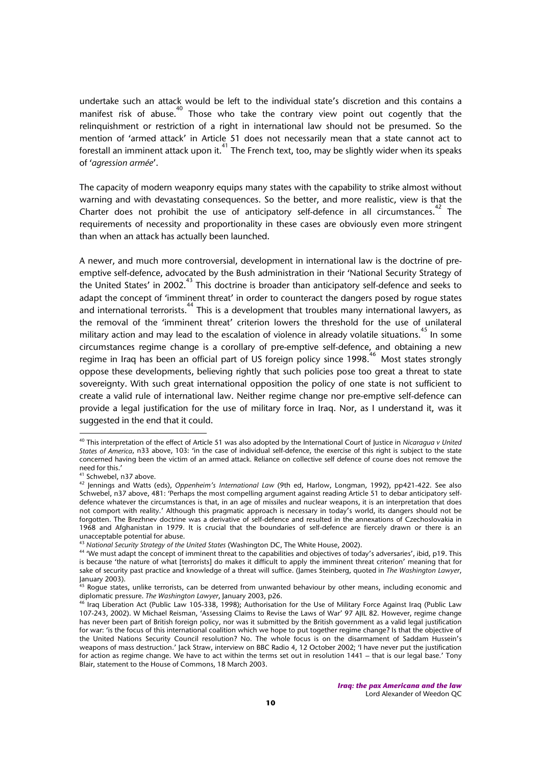undertake such an attack would be left to the individual state's discretion and this contains a manifest risk of abuse.<sup>40</sup> Those who take the contrary view point out cogently that the relinquishment or restriction of a right in international law should not be presumed. So the mention of 'armed attack' in Article 51 does not necessarily mean that a state cannot act to forestall an imminent attack upon it.<sup>41</sup> The French text, too, may be slightly wider when its speaks of '*agression armée*'.

The capacity of modern weaponry equips many states with the capability to strike almost without warning and with devastating consequences. So the better, and more realistic, view is that the Charter does not prohibit the use of anticipatory self-defence in all circumstances.<sup>42</sup> The requirements of necessity and proportionality in these cases are obviously even more stringent than when an attack has actually been launched.

A newer, and much more controversial, development in international law is the doctrine of preemptive self-defence, advocated by the Bush administration in their 'National Security Strategy of the United States' in 2002.<sup>43</sup> This doctrine is broader than anticipatory self-defence and seeks to adapt the concept of 'imminent threat' in order to counteract the dangers posed by rogue states and international terrorists.<sup>44</sup> This is a development that troubles many international lawyers, as the removal of the 'imminent threat' criterion lowers the threshold for the use of unilateral military action and may lead to the escalation of violence in already volatile situations.<sup>45</sup> In some circumstances regime change is a corollary of pre-emptive self-defence, and obtaining a new regime in Iraq has been an official part of US foreign policy since 1998.<sup>46</sup> Most states strongly oppose these developments, believing rightly that such policies pose too great a threat to state sovereignty. With such great international opposition the policy of one state is not sufficient to create a valid rule of international law. Neither regime change nor pre-emptive self-defence can provide a legal justification for the use of military force in Iraq. Nor, as I understand it, was it suggested in the end that it could.

<sup>40</sup> This interpretation of the effect of Article 51 was also adopted by the International Court of Justice in *Nicaragua v United States of America*, n33 above, 103: 'in the case of individual self-defence, the exercise of this right is subject to the state concerned having been the victim of an armed attack. Reliance on collective self defence of course does not remove the need for this.'

<sup>41</sup> Schwebel, n37 above.

<sup>42</sup> Jennings and Watts (eds), *Oppenheim's International Law* (9th ed, Harlow, Longman, 1992), pp421-422. See also Schwebel, n37 above, 481: 'Perhaps the most compelling argument against reading Article 51 to debar anticipatory selfdefence whatever the circumstances is that, in an age of missiles and nuclear weapons, it is an interpretation that does not comport with reality.' Although this pragmatic approach is necessary in today's world, its dangers should not be forgotten. The Brezhnev doctrine was a derivative of self-defence and resulted in the annexations of Czechoslovakia in 1968 and Afghanistan in 1979. It is crucial that the boundaries of self-defence are fiercely drawn or there is an unacceptable potential for abuse.<br><sup>43</sup> National Security Strategy of the United States (Washington DC, The White House, 2002).

<sup>43</sup> *National Security Strategy of the United States* (Washington DC, The White House, 2002). 44 'We must adapt the concept of imminent threat to the capabilities and objectives of today's adversaries', ibid, p19. This is because 'the nature of what [terrorists] do makes it difficult to apply the imminent threat criterion' meaning that for sake of security past practice and knowledge of a threat will suffice. (James Steinberg, quoted in *The Washington Lawyer*, January 2003).

<sup>&</sup>lt;sup>45</sup> Rogue states, unlike terrorists, can be deterred from unwanted behaviour by other means, including economic and diplomatic pressure. *The Washington Lawyer*, January 2003, p26.<br><sup>46</sup> Iraq Liberation Act (Public Law 105-338, 1998); Authorisation for the Use of Military Force Against Iraq (Public Law

<sup>107-243, 2002).</sup> W Michael Reisman, 'Assessing Claims to Revise the Laws of War' 97 AJIL 82. However, regime change has never been part of British foreign policy, nor was it submitted by the British government as a valid legal justification for war: 'is the focus of this international coalition which we hope to put together regime change? Is that the objective of the United Nations Security Council resolution? No. The whole focus is on the disarmament of Saddam Hussein's weapons of mass destruction.' Jack Straw, interview on BBC Radio 4, 12 October 2002; 'I have never put the justification for action as regime change. We have to act within the terms set out in resolution 1441 – that is our legal base.' Tony Blair, statement to the House of Commons, 18 March 2003.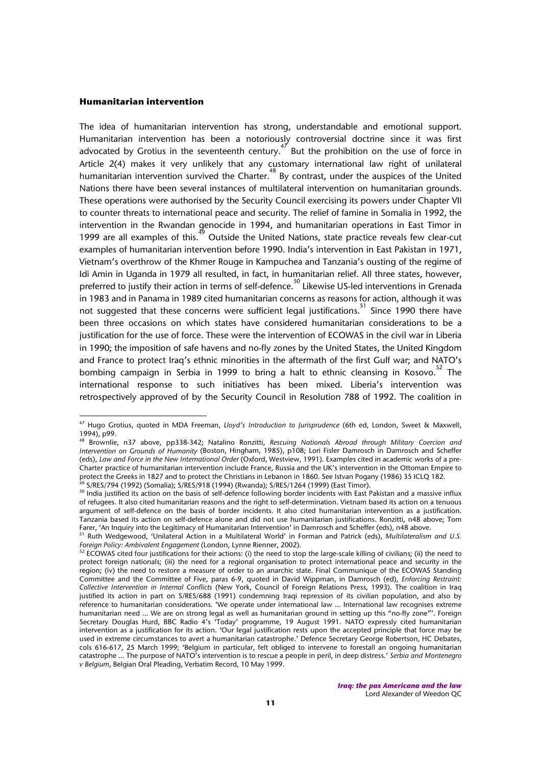#### **Humanitarian intervention**

 $\overline{a}$ 

The idea of humanitarian intervention has strong, understandable and emotional support. Humanitarian intervention has been a notoriously controversial doctrine since it was first advocated by Grotius in the seventeenth century.<sup>47</sup> But the prohibition on the use of force in Article 2(4) makes it very unlikely that any customary international law right of unilateral humanitarian intervention survived the Charter.<sup>48</sup> By contrast, under the auspices of the United Nations there have been several instances of multilateral intervention on humanitarian grounds. These operations were authorised by the Security Council exercising its powers under Chapter VII to counter threats to international peace and security. The relief of famine in Somalia in 1992, the intervention in the Rwandan genocide in 1994, and humanitarian operations in East Timor in 1999 are all examples of this.<sup>49</sup> Outside the United Nations, state practice reveals few clear-cut examples of humanitarian intervention before 1990. India's intervention in East Pakistan in 1971, Vietnam's overthrow of the Khmer Rouge in Kampuchea and Tanzania's ousting of the regime of Idi Amin in Uganda in 1979 all resulted, in fact, in humanitarian relief. All three states, however, preferred to justify their action in terms of self-defence.<sup>50</sup> Likewise US-led interventions in Grenada in 1983 and in Panama in 1989 cited humanitarian concerns as reasons for action, although it was not suggested that these concerns were sufficient legal justifications.<sup>51</sup> Since 1990 there have been three occasions on which states have considered humanitarian considerations to be a justification for the use of force. These were the intervention of ECOWAS in the civil war in Liberia in 1990; the imposition of safe havens and no-fly zones by the United States, the United Kingdom and France to protect Iraq's ethnic minorities in the aftermath of the first Gulf war; and NATO's bombing campaign in Serbia in 1999 to bring a halt to ethnic cleansing in Kosovo.<sup>32</sup> The international response to such initiatives has been mixed. Liberia's intervention was retrospectively approved of by the Security Council in Resolution 788 of 1992. The coalition in

<sup>47</sup> Hugo Grotius, quoted in MDA Freeman, *Lloyd's Introduction to Jurisprudence* (6th ed, London, Sweet & Maxwell, 1994), p99.

<sup>48</sup> Brownlie, n37 above, pp338-342; Natalino Ronzitti, *Rescuing Nationals Abroad through Military Coercion and Intervention on Grounds of Humanity* (Boston, Hingham, 1985), p108; Lori Fisler Damrosch in Damrosch and Scheffer (eds), *Law and Force in the New International Order* (Oxford, Westview, 1991). Examples cited in academic works of a pre-Charter practice of humanitarian intervention include France, Russia and the UK's intervention in the Ottoman Empire to protect the Greeks in 1827 and to protect the Christians in Lebanon in 1860. See Istvan Pogany (1986) 35 ICLQ 182.<br><sup>49</sup> S/RES/794 (1992) (Somalia); S/RES/918 (1994) (Rwanda); S/RES/1264 (1999) (East Timor).

<sup>50</sup> India justified its action on the basis of self-defence following border incidents with East Pakistan and a massive influx of refugees. It also cited humanitarian reasons and the right to self-determination. Vietnam based its action on a tenuous argument of self-defence on the basis of border incidents. It also cited humanitarian intervention as a justification. Tanzania based its action on self-defence alone and did not use humanitarian justifications. Ronzitti, n48 above; Tom Farer, 'An Inquiry into the Legitimacy of Humanitarian Intervention' in Damrosch and Scheffer (eds), n48 above.

<sup>51</sup> Ruth Wedgewood, 'Unilateral Action in a Multilateral World' in Forman and Patrick (eds), *Multilateralism and U.S. Foreign Policy: Ambivalent Engagement* (London, Lynne Rienner, 2002).<br><sup>52</sup> ECOWAS cited four justifications for their actions: (i) the need to stop the large-scale killing of civilians; (ii) the need to

protect foreign nationals; (iii) the need for a regional organisation to protect international peace and security in the region; (iv) the need to restore a measure of order to an anarchic state. Final Communique of the ECOWAS Standing Committee and the Committee of Five, paras 6-9, quoted in David Wippman, in Damrosch (ed), *Enforcing Restraint: Collective Intervention in Internal Conflicts* (New York, Council of Foreign Relations Press, 1993). The coalition in Iraq justified its action in part on S/RES/688 (1991) condemning Iraqi repression of its civilian population, and also by reference to humanitarian considerations. 'We operate under international law … International law recognises extreme humanitarian need … We are on strong legal as well as humanitarian ground in setting up this "no-fly zone"'. Foreign Secretary Douglas Hurd, BBC Radio 4's 'Today' programme, 19 August 1991. NATO expressly cited humanitarian intervention as a justification for its action. 'Our legal justification rests upon the accepted principle that force may be used in extreme circumstances to avert a humanitarian catastrophe.' Defence Secretary George Robertson, HC Debates, cols 616-617, 25 March 1999; 'Belgium in particular, felt obliged to intervene to forestall an ongoing humanitarian catastrophe … The purpose of NATO's intervention is to rescue a people in peril, in deep distress.' *Serbia and Montenegro v Belgium*, Belgian Oral Pleading, Verbatim Record, 10 May 1999.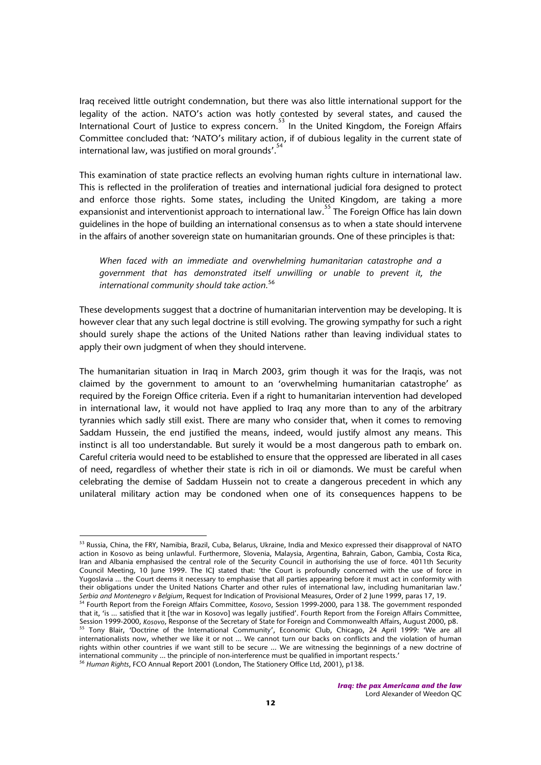Iraq received little outright condemnation, but there was also little international support for the legality of the action. NATO's action was hotly contested by several states, and caused the International Court of Justice to express concern.<sup>53</sup> In the United Kingdom, the Foreign Affairs Committee concluded that: 'NATO's military action, if of dubious legality in the current state of international law, was justified on moral grounds'.

This examination of state practice reflects an evolving human rights culture in international law. This is reflected in the proliferation of treaties and international judicial fora designed to protect and enforce those rights. Some states, including the United Kingdom, are taking a more expansionist and interventionist approach to international law.<sup>55</sup> The Foreign Office has lain down guidelines in the hope of building an international consensus as to when a state should intervene in the affairs of another sovereign state on humanitarian grounds. One of these principles is that:

*When faced with an immediate and overwhelming humanitarian catastrophe and a government that has demonstrated itself unwilling or unable to prevent it, the international community should take action.*<sup>56</sup>

These developments suggest that a doctrine of humanitarian intervention may be developing. It is however clear that any such legal doctrine is still evolving. The growing sympathy for such a right should surely shape the actions of the United Nations rather than leaving individual states to apply their own judgment of when they should intervene.

The humanitarian situation in Iraq in March 2003, grim though it was for the Iraqis, was not claimed by the government to amount to an 'overwhelming humanitarian catastrophe' as required by the Foreign Office criteria. Even if a right to humanitarian intervention had developed in international law, it would not have applied to Iraq any more than to any of the arbitrary tyrannies which sadly still exist. There are many who consider that, when it comes to removing Saddam Hussein, the end justified the means, indeed, would justify almost any means. This instinct is all too understandable. But surely it would be a most dangerous path to embark on. Careful criteria would need to be established to ensure that the oppressed are liberated in all cases of need, regardless of whether their state is rich in oil or diamonds. We must be careful when celebrating the demise of Saddam Hussein not to create a dangerous precedent in which any unilateral military action may be condoned when one of its consequences happens to be

 $\overline{a}$ 

 $^{53}$  Russia, China, the FRY, Namibia, Brazil, Cuba, Belarus, Ukraine, India and Mexico expressed their disapproval of NATO action in Kosovo as being unlawful. Furthermore, Slovenia, Malaysia, Argentina, Bahrain, Gabon, Gambia, Costa Rica, Iran and Albania emphasised the central role of the Security Council in authorising the use of force. 4011th Security Council Meeting, 10 June 1999. The ICJ stated that: 'the Court is profoundly concerned with the use of force in Yugoslavia … the Court deems it necessary to emphasise that all parties appearing before it must act in conformity with their obligations under the United Nations Charter and other rules of international law, including humanitarian law.'<br>Serbia and Montenegro v Belgium, Request for Indication of Provisional Measures, Order of 2 June 1999, p

<sup>&</sup>lt;sup>54</sup> Fourth Report from the Foreign Affairs Committee, Kosovo, Session 1999-2000, para 138. The government responded that it, 'is … satisfied that it [the war in Kosovo] was legally justified'. Fourth Report from the Foreign Affairs Committee, Session 1999-2000, Kosovo, Response of the Secretary of State for Foreign and Commonwealth Affairs, August 2000, p8.<br><sup>55</sup> Tony Blair, 'Doctrine of the International Community', Economic Club, Chicago, 24 April 1999: 'We ar internationalists now, whether we like it or not … We cannot turn our backs on conflicts and the violation of human rights within other countries if we want still to be secure … We are witnessing the beginnings of a new doctrine of

international community … the principle of non-interference must be qualified in important respects.' 56 *Human Rights*, FCO Annual Report 2001 (London, The Stationery Office Ltd, 2001), p138.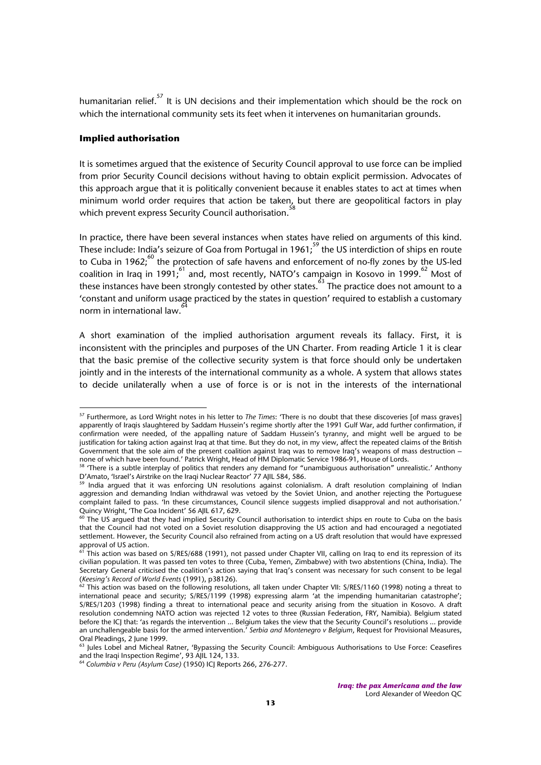humanitarian relief.<sup>57</sup> It is UN decisions and their implementation which should be the rock on which the international community sets its feet when it intervenes on humanitarian grounds.

#### **Implied authorisation**

l

It is sometimes argued that the existence of Security Council approval to use force can be implied from prior Security Council decisions without having to obtain explicit permission. Advocates of this approach argue that it is politically convenient because it enables states to act at times when minimum world order requires that action be taken, but there are geopolitical factors in play which prevent express Security Council authorisation.

In practice, there have been several instances when states have relied on arguments of this kind. These include: India's seizure of Goa from Portugal in 1961;<sup>59</sup> the US interdiction of ships en route to Cuba in 1962; $^{60}$  the protection of safe havens and enforcement of no-fly zones by the US-led coalition in Iraq in 1991;  $^{61}$  and, most recently, NATO's campaign in Kosovo in 1999. $^{62}$  Most of these instances have been strongly contested by other states.<sup>63</sup> The practice does not amount to a 'constant and uniform usage practiced by the states in question' required to establish a customary norm in international law.

A short examination of the implied authorisation argument reveals its fallacy. First, it is inconsistent with the principles and purposes of the UN Charter. From reading Article 1 it is clear that the basic premise of the collective security system is that force should only be undertaken jointly and in the interests of the international community as a whole. A system that allows states to decide unilaterally when a use of force is or is not in the interests of the international

<sup>57</sup> Furthermore, as Lord Wright notes in his letter to *The Times*: 'There is no doubt that these discoveries [of mass graves] apparently of Iraqis slaughtered by Saddam Hussein's regime shortly after the 1991 Gulf War, add further confirmation, if confirmation were needed, of the appalling nature of Saddam Hussein's tyranny, and might well be argued to be justification for taking action against Iraq at that time. But they do not, in my view, affect the repeated claims of the British Government that the sole aim of the present coalition against Iraq was to remove Iraq's weapons of mass destruction – none of which have been found.' Patrick Wright, Head of HM Diplomatic Service 1986-91, House of Lords.

 $58$  'There is a subtle interplay of politics that renders any demand for "unambiguous authorisation" unrealistic.' Anthony D'Amato, 'Israel's Airstrike on the Iraqi Nuclear Reactor' 77 AJIL 584, 586.

<sup>&</sup>lt;sup>59</sup> India argued that it was enforcing UN resolutions against colonialism. A draft resolution complaining of Indian aggression and demanding Indian withdrawal was vetoed by the Soviet Union, and another rejecting the Portuguese complaint failed to pass. 'In these circumstances, Council silence suggests implied disapproval and not authorisation.' Quincy Wright, 'The Goa Incident' 56 AJIL 617, 629.

 $60$  The US argued that they had implied Security Council authorisation to interdict ships en route to Cuba on the basis that the Council had not voted on a Soviet resolution disapproving the US action and had encouraged a negotiated settlement. However, the Security Council also refrained from acting on a US draft resolution that would have expressed approval of US action.

 $^{61}$  This action was based on S/RES/688 (1991), not passed under Chapter VII, calling on Iraq to end its repression of its civilian population. It was passed ten votes to three (Cuba, Yemen, Zimbabwe) with two abstentions (China, India). The Secretary General criticised the coalition's action saying that Iraq's consent was necessary for such consent to be legal (*Keesing's Record of World Events* (1991), p38126).<br><sup>62</sup> This action was based on the following resolutions, all taken under Chapter VII: S/RES/1160 (1998) noting a threat to

international peace and security; S/RES/1199 (1998) expressing alarm 'at the impending humanitarian catastrophe'; S/RES/1203 (1998) finding a threat to international peace and security arising from the situation in Kosovo. A draft resolution condemning NATO action was rejected 12 votes to three (Russian Federation, FRY, Namibia). Belgium stated before the ICJ that: 'as regards the intervention … Belgium takes the view that the Security Council's resolutions … provide an unchallengeable basis for the armed intervention.' *Serbia and Montenegro v Belgium*, Request for Provisional Measures, Oral Pleadings, 2 June 1999.

<sup>&</sup>lt;sup>63</sup> Jules Lobel and Micheal Ratner, 'Bypassing the Security Council: Ambiguous Authorisations to Use Force: Ceasefires and the Iraqi Inspection Regime', 93 AJIL 124, 133.

<sup>64</sup> *Columbia v Peru (Asylum Case)* (1950) ICJ Reports 266, 276-277.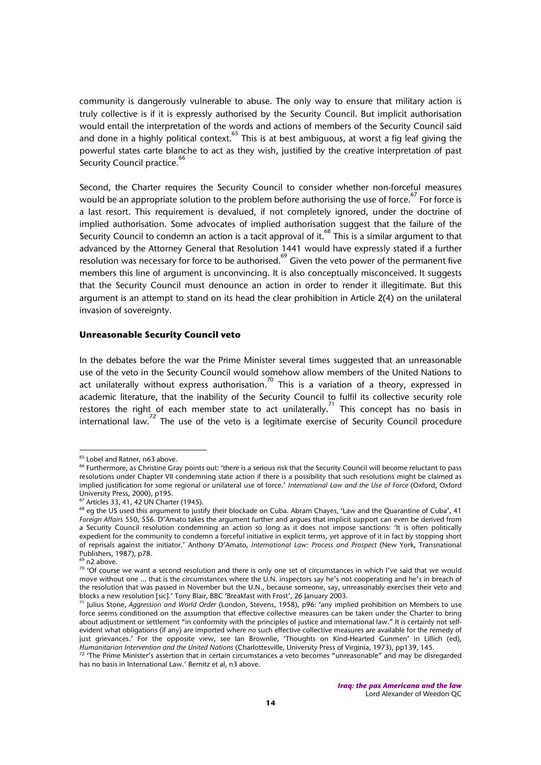community is dangerously vulnerable to abuse. The only way to ensure that military action is truly collective is if it is expressly authorised by the Security Council. But implicit authorisation would entail the interpretation of the words and actions of members of the Security Council said and done in a highly political context.<sup>65</sup> This is at best ambiguous, at worst a fig leaf giving the powerful states carte blanche to act as they wish, justified by the creative interpretation of past Security Council practice.

Second, the Charter requires the Security Council to consider whether non-forceful measures would be an appropriate solution to the problem before authorising the use of force.<sup>7</sup> For force is a last resort. This requirement is devalued, if not completely ignored, under the doctrine of implied authorisation. Some advocates of implied authorisation suggest that the failure of the Security Council to condemn an action is a tacit approval of it.<sup>68</sup> This is a similar argument to that advanced by the Attorney General that Resolution 1441 would have expressly stated if a further resolution was necessary for force to be authorised.<sup>69</sup> Given the veto power of the permanent five members this line of argument is unconvincing. It is also conceptually misconceived. It suggests that the Security Council must denounce an action in order to render it illegitimate. But this argument is an attempt to stand on its head the clear prohibition in Article 2(4) on the unilateral invasion of sovereignty.

#### **Unreasonable Security Council veto**

In the debates before the war the Prime Minister several times suggested that an unreasonable use of the veto in the Security Council would somehow allow members of the United Nations to act unilaterally without express authorisation.<sup>70</sup> This is a variation of a theory, expressed in academic literature, that the inability of the Security Council to fulfil its collective security role restores the right of each member state to act unilaterally.<sup>71</sup> This concept has no basis in international law.<sup>72</sup> The use of the veto is a legitimate exercise of Security Council procedure

<sup>&</sup>lt;sup>65</sup> Lobel and Ratner, n63 above.

<sup>&</sup>lt;sup>66</sup> Furthermore, as Christine Gray points out: 'there is a serious risk that the Security Council will become reluctant to pass resolutions under Chapter VII condemning state action if there is a possibility that such resolutions might be claimed as implied justification for some regional or unilateral use of force.' *International Law and the Use of Force* (Oxford, Oxford University Press, 2000), p195.

<sup>67</sup> Articles 33, 41, 42 UN Charter (1945).

 $68$  eg the US used this argument to justify their blockade on Cuba. Abram Chayes, 'Law and the Quarantine of Cuba', 41 *Foreign Affairs* 550, 556. D'Amato takes the argument further and argues that implicit support can even be derived from a Security Council resolution condemning an action so long as it does not impose sanctions: 'It is often politically expedient for the community to condemn a forceful initiative in explicit terms, yet approve of it in fact by stopping short of reprisals against the initiator.' Anthony D'Amato, *International Law: Process and Prospect* (New York, Transnational Publishers, 1987), p78.

 $69$  n2 above.

 $70$  'Of course we want a second resolution and there is only one set of circumstances in which I've said that we would move without one … that is the circumstances where the U.N. inspectors say he's not cooperating and he's in breach of the resolution that was passed in November but the U.N., because someone, say, unreasonably exercises their veto and blocks a new resolution [sic].' Tony Blair, BBC 'Breakfast with Frost', 26 January 2003.

<sup>71</sup> Julius Stone, *Aggression and World Order* (London, Stevens, 1958), p96: 'any implied prohibition on Members to use force seems conditioned on the assumption that effective collective measures can be taken under the Charter to bring about adjustment or settlement "in conformity with the principles of justice and international law." It is certainly not selfevident what obligations (if any) are imported where *no* such effective collective measures are available for the remedy of just grievances.' For the opposite view, see Ian Brownlie, 'Thoughts on Kind-Hearted Gunmen' in Lillich (ed), Humanitarian Intervention and the United Nations (Charlottesville, University Press of Virginia, 1973), pp139, 145.<br><sup>72</sup> 'The Prime Minister's assertion that in certain circumstances a veto becomes "unreasonable" and may b

has no basis in International Law.' Bernitz et al, n3 above.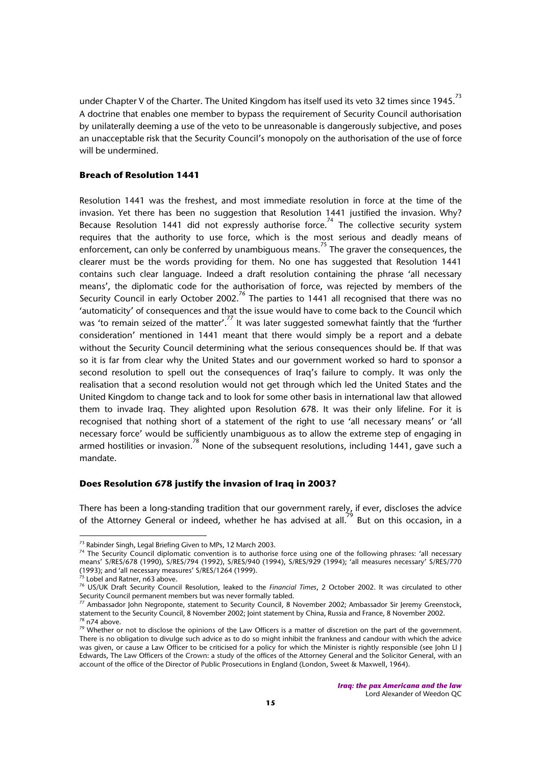under Chapter V of the Charter. The United Kingdom has itself used its veto 32 times since 1945.<sup>73</sup> A doctrine that enables one member to bypass the requirement of Security Council authorisation by unilaterally deeming a use of the veto to be unreasonable is dangerously subjective, and poses an unacceptable risk that the Security Council's monopoly on the authorisation of the use of force will be undermined.

#### **Breach of Resolution 1441**

Resolution 1441 was the freshest, and most immediate resolution in force at the time of the invasion. Yet there has been no suggestion that Resolution 1441 justified the invasion. Why? Because Resolution 1441 did not expressly authorise force.<sup>74</sup> The collective security system requires that the authority to use force, which is the most serious and deadly means of enforcement, can only be conferred by unambiguous means.<sup>75</sup> The graver the consequences, the clearer must be the words providing for them. No one has suggested that Resolution 1441 contains such clear language. Indeed a draft resolution containing the phrase 'all necessary means', the diplomatic code for the authorisation of force, was rejected by members of the Security Council in early October 2002.<sup>76</sup> The parties to 1441 all recognised that there was no 'automaticity' of consequences and that the issue would have to come back to the Council which was 'to remain seized of the matter'.<sup>77</sup> It was later suggested somewhat faintly that the 'further consideration' mentioned in 1441 meant that there would simply be a report and a debate without the Security Council determining what the serious consequences should be. If that was so it is far from clear why the United States and our government worked so hard to sponsor a second resolution to spell out the consequences of Iraq's failure to comply. It was only the realisation that a second resolution would not get through which led the United States and the United Kingdom to change tack and to look for some other basis in international law that allowed them to invade Iraq. They alighted upon Resolution 678. It was their only lifeline. For it is recognised that nothing short of a statement of the right to use 'all necessary means' or 'all necessary force' would be sufficiently unambiguous as to allow the extreme step of engaging in armed hostilities or invasion.<sup>78</sup> None of the subsequent resolutions, including 1441, gave such a mandate.

## **Does Resolution 678 justify the invasion of Iraq in 2003?**

There has been a long-standing tradition that our government rarely, if ever, discloses the advice of the Attorney General or indeed, whether he has advised at all.  $^{79}$  But on this occasion, in a

 $\overline{a}$ 

 $^{73}$  Rabinder Singh, Legal Briefing Given to MPs, 12 March 2003.

 $74$  The Security Council diplomatic convention is to authorise force using one of the following phrases: 'all necessary means' S/RES/678 (1990), S/RES/794 (1992), S/RES/940 (1994), S/RES/929 (1994); 'all measures necessary' S/RES/770 (1993); and 'all necessary measures' S/RES/1264 (1999).<br>(1993); and 'all necessary measures' S/RES/1264 (1999).

 $<sup>5</sup>$  Lobel and Ratner, n63 above.</sup>

<sup>76</sup> US/UK Draft Security Council Resolution, leaked to the *Financial Times*, 2 October 2002. It was circulated to other Security Council permanent members but was never formally tabled.

 $^{77}$  Ambassador John Negroponte, statement to Security Council, 8 November 2002; Ambassador Sir Jeremy Greenstock, statement to the Security Council, 8 November 2002; Joint statement by China, Russia and France, 8 November 2002.<br><sup>78</sup> n74 above.

 $79$  Whether or not to disclose the opinions of the Law Officers is a matter of discretion on the part of the government. There is no obligation to divulge such advice as to do so might inhibit the frankness and candour with which the advice was given, or cause a Law Officer to be criticised for a policy for which the Minister is rightly responsible (see John Ll J Edwards, The Law Officers of the Crown: a study of the offices of the Attorney General and the Solicitor General, with an account of the office of the Director of Public Prosecutions in England (London, Sweet & Maxwell, 1964).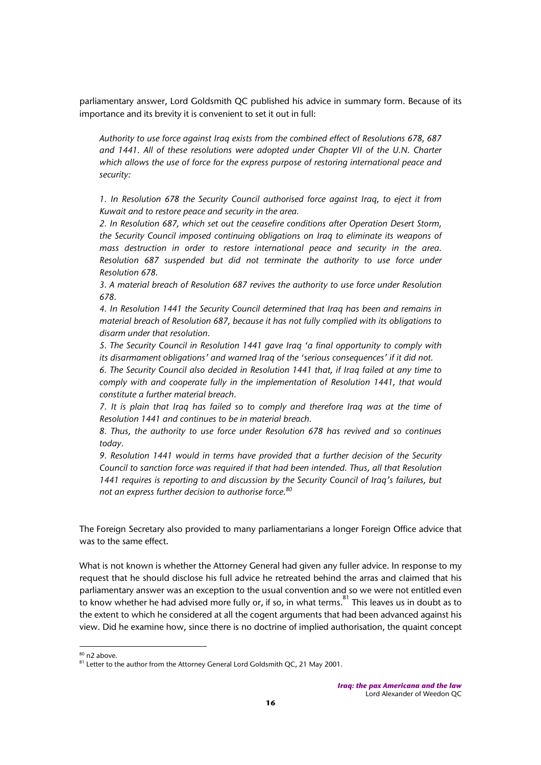parliamentary answer, Lord Goldsmith QC published his advice in summary form. Because of its importance and its brevity it is convenient to set it out in full:

*Authority to use force against Iraq exists from the combined effect of Resolutions 678, 687 and 1441. All of these resolutions were adopted under Chapter VII of the U.N. Charter which allows the use of force for the express purpose of restoring international peace and security:* 

*1. In Resolution 678 the Security Council authorised force against Iraq, to eject it from Kuwait and to restore peace and security in the area.* 

*2. In Resolution 687, which set out the ceasefire conditions after Operation Desert Storm, the Security Council imposed continuing obligations on Iraq to eliminate its weapons of mass destruction in order to restore international peace and security in the area. Resolution 687 suspended but did not terminate the authority to use force under Resolution 678.* 

*3. A material breach of Resolution 687 revives the authority to use force under Resolution 678.* 

*4. In Resolution 1441 the Security Council determined that Iraq has been and remains in material breach of Resolution 687, because it has not fully complied with its obligations to disarm under that resolution.* 

*5. The Security Council in Resolution 1441 gave Iraq 'a final opportunity to comply with its disarmament obligations' and warned Iraq of the 'serious consequences' if it did not.* 

*6. The Security Council also decided in Resolution 1441 that, if Iraq failed at any time to comply with and cooperate fully in the implementation of Resolution 1441, that would constitute a further material breach.* 

*7. It is plain that Iraq has failed so to comply and therefore Iraq was at the time of Resolution 1441 and continues to be in material breach.* 

*8. Thus, the authority to use force under Resolution 678 has revived and so continues today.* 

*9. Resolution 1441 would in terms have provided that a further decision of the Security Council to sanction force was required if that had been intended. Thus, all that Resolution 1441 requires is reporting to and discussion by the Security Council of Iraq's failures, but not an express further decision to authorise force.80*

The Foreign Secretary also provided to many parliamentarians a longer Foreign Office advice that was to the same effect.

What is not known is whether the Attorney General had given any fuller advice. In response to my request that he should disclose his full advice he retreated behind the arras and claimed that his parliamentary answer was an exception to the usual convention and so we were not entitled even to know whether he had advised more fully or, if so, in what terms.<sup>81</sup> This leaves us in doubt as to the extent to which he considered at all the cogent arguments that had been advanced against his view. Did he examine how, since there is no doctrine of implied authorisation, the quaint concept

l

 $80$  n2 above.

<sup>&</sup>lt;sup>81</sup> Letter to the author from the Attorney General Lord Goldsmith QC, 21 May 2001.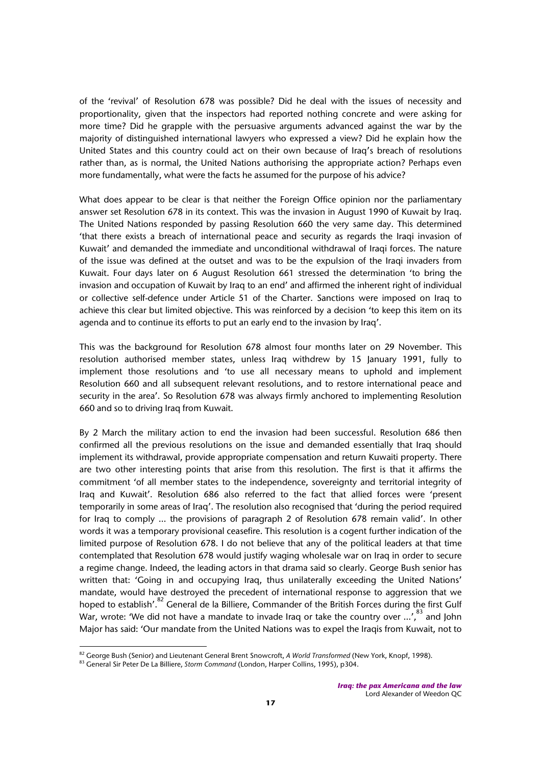of the 'revival' of Resolution 678 was possible? Did he deal with the issues of necessity and proportionality, given that the inspectors had reported nothing concrete and were asking for more time? Did he grapple with the persuasive arguments advanced against the war by the majority of distinguished international lawyers who expressed a view? Did he explain how the United States and this country could act on their own because of Iraq's breach of resolutions rather than, as is normal, the United Nations authorising the appropriate action? Perhaps even more fundamentally, what were the facts he assumed for the purpose of his advice?

What does appear to be clear is that neither the Foreign Office opinion nor the parliamentary answer set Resolution 678 in its context. This was the invasion in August 1990 of Kuwait by Iraq. The United Nations responded by passing Resolution 660 the very same day. This determined 'that there exists a breach of international peace and security as regards the Iraqi invasion of Kuwait' and demanded the immediate and unconditional withdrawal of Iraqi forces. The nature of the issue was defined at the outset and was to be the expulsion of the Iraqi invaders from Kuwait. Four days later on 6 August Resolution 661 stressed the determination 'to bring the invasion and occupation of Kuwait by Iraq to an end' and affirmed the inherent right of individual or collective self-defence under Article 51 of the Charter. Sanctions were imposed on Iraq to achieve this clear but limited objective. This was reinforced by a decision 'to keep this item on its agenda and to continue its efforts to put an early end to the invasion by Iraq'.

This was the background for Resolution 678 almost four months later on 29 November. This resolution authorised member states, unless Iraq withdrew by 15 January 1991, fully to implement those resolutions and 'to use all necessary means to uphold and implement Resolution 660 and all subsequent relevant resolutions, and to restore international peace and security in the area'. So Resolution 678 was always firmly anchored to implementing Resolution 660 and so to driving Iraq from Kuwait.

By 2 March the military action to end the invasion had been successful. Resolution 686 then confirmed all the previous resolutions on the issue and demanded essentially that Iraq should implement its withdrawal, provide appropriate compensation and return Kuwaiti property. There are two other interesting points that arise from this resolution. The first is that it affirms the commitment 'of all member states to the independence, sovereignty and territorial integrity of Iraq and Kuwait'. Resolution 686 also referred to the fact that allied forces were 'present temporarily in some areas of Iraq'. The resolution also recognised that 'during the period required for Iraq to comply … the provisions of paragraph 2 of Resolution 678 remain valid'. In other words it was a temporary provisional ceasefire. This resolution is a cogent further indication of the limited purpose of Resolution 678. I do not believe that any of the political leaders at that time contemplated that Resolution 678 would justify waging wholesale war on Iraq in order to secure a regime change. Indeed, the leading actors in that drama said so clearly. George Bush senior has written that: 'Going in and occupying Iraq, thus unilaterally exceeding the United Nations' mandate, would have destroyed the precedent of international response to aggression that we hoped to establish'.<sup>82</sup> General de la Billiere, Commander of the British Forces during the first Gulf War, wrote: 'We did not have a mandate to invade Iraq or take the country over ...',  $83$  and John Major has said: 'Our mandate from the United Nations was to expel the Iraqis from Kuwait, not to

<sup>&</sup>lt;sup>82</sup> George Bush (Senior) and Lieutenant General Brent Snowcroft. A World Transformed (New York. Knopf. 1998).

<sup>&</sup>lt;sup>83</sup> General Sir Peter De La Billiere, Storm Command (London, Harper Collins, 1995), p304.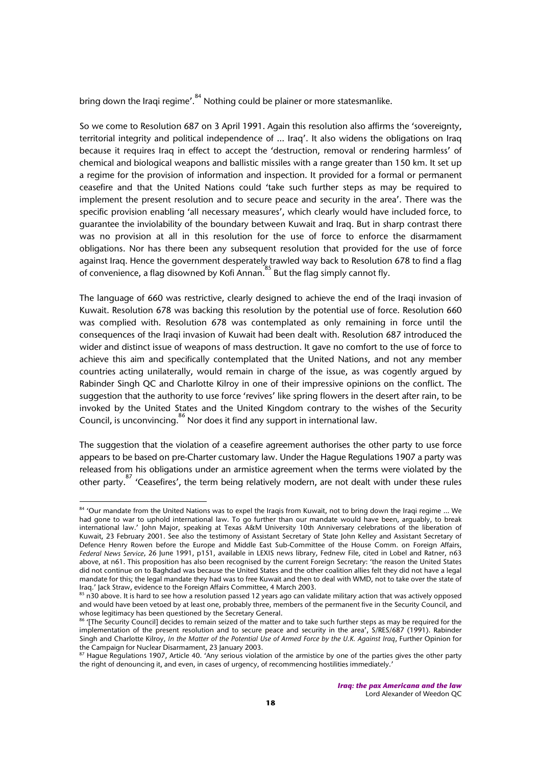bring down the Iraqi regime'.<sup>84</sup> Nothing could be plainer or more statesmanlike.

So we come to Resolution 687 on 3 April 1991. Again this resolution also affirms the 'sovereignty, territorial integrity and political independence of … Iraq'. It also widens the obligations on Iraq because it requires Iraq in effect to accept the 'destruction, removal or rendering harmless' of chemical and biological weapons and ballistic missiles with a range greater than 150 km. It set up a regime for the provision of information and inspection. It provided for a formal or permanent ceasefire and that the United Nations could 'take such further steps as may be required to implement the present resolution and to secure peace and security in the area'. There was the specific provision enabling 'all necessary measures', which clearly would have included force, to guarantee the inviolability of the boundary between Kuwait and Iraq. But in sharp contrast there was no provision at all in this resolution for the use of force to enforce the disarmament obligations. Nor has there been any subsequent resolution that provided for the use of force against Iraq. Hence the government desperately trawled way back to Resolution 678 to find a flag of convenience, a flag disowned by Kofi Annan.<sup>85</sup> But the flag simply cannot fly.

The language of 660 was restrictive, clearly designed to achieve the end of the Iraqi invasion of Kuwait. Resolution 678 was backing this resolution by the potential use of force. Resolution 660 was complied with. Resolution 678 was contemplated as only remaining in force until the consequences of the Iraqi invasion of Kuwait had been dealt with. Resolution 687 introduced the wider and distinct issue of weapons of mass destruction. It gave no comfort to the use of force to achieve this aim and specifically contemplated that the United Nations, and not any member countries acting unilaterally, would remain in charge of the issue, as was cogently argued by Rabinder Singh QC and Charlotte Kilroy in one of their impressive opinions on the conflict. The suggestion that the authority to use force 'revives' like spring flowers in the desert after rain, to be invoked by the United States and the United Kingdom contrary to the wishes of the Security Council, is unconvincing.<sup>86</sup> Nor does it find any support in international law.

The suggestion that the violation of a ceasefire agreement authorises the other party to use force appears to be based on pre-Charter customary law. Under the Hague Regulations 1907 a party was released from his obligations under an armistice agreement when the terms were violated by the other party.<sup>87</sup> 'Ceasefires', the term being relatively modern, are not dealt with under these rules

 84 'Our mandate from the United Nations was to expel the Iraqis from Kuwait, not to bring down the Iraqi regime ... We had gone to war to uphold international law. To go further than our mandate would have been, arguably, to break international law.' John Major, speaking at Texas A&M University 10th Anniversary celebrations of the liberation of Kuwait, 23 February 2001. See also the testimony of Assistant Secretary of State John Kelley and Assistant Secretary of Defence Henry Rowen before the Europe and Middle East Sub-Committee of the House Comm. on Foreign Affairs, *Federal News Service*, 26 June 1991, p151, available in LEXIS news library, Fednew File, cited in Lobel and Ratner, n63 above, at n61. This proposition has also been recognised by the current Foreign Secretary: 'the reason the United States did not continue on to Baghdad was because the United States and the other coalition allies felt they did not have a legal mandate for this; the legal mandate they had was to free Kuwait and then to deal with WMD, not to take over the state of Iraq.' Jack Straw, evidence to the Foreign Affairs Committee, 4 March 2003.

<sup>85</sup> n30 above. It is hard to see how a resolution passed 12 years ago can validate military action that was actively opposed and would have been vetoed by at least one, probably three, members of the permanent five in the Security Council, and whose legitimacy has been questioned by the Secretary General.

 $86$  '[The Security Council] decides to remain seized of the matter and to take such further steps as may be required for the implementation of the present resolution and to secure peace and security in the area', S/RES/687 (1991). Rabinder Singh and Charlotte Kilroy, *In the Matter of the Potential Use of Armed Force by the U.K. Against Iraq*, Further Opinion for the Campaign for Nuclear Disarmament, 23 January 2003.

<sup>87</sup> Hague Regulations 1907, Article 40. 'Any serious violation of the armistice by one of the parties gives the other party the right of denouncing it, and even, in cases of urgency, of recommencing hostilities immediately.'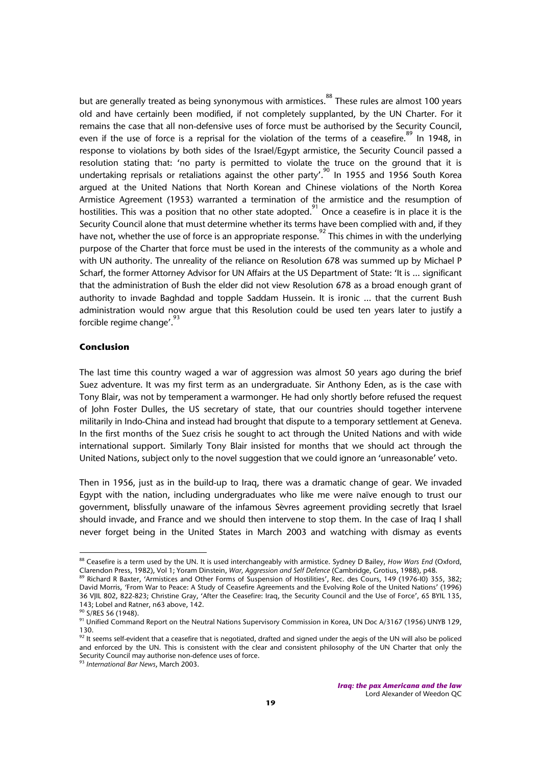but are generally treated as being synonymous with armistices.<sup>88</sup> These rules are almost 100 years old and have certainly been modified, if not completely supplanted, by the UN Charter. For it remains the case that all non-defensive uses of force must be authorised by the Security Council, even if the use of force is a reprisal for the violation of the terms of a ceasefire.<sup>89</sup> In 1948, in response to violations by both sides of the Israel/Egypt armistice, the Security Council passed a resolution stating that: 'no party is permitted to violate the truce on the ground that it is undertaking reprisals or retaliations against the other party'.<sup>90</sup> In 1955 and 1956 South Korea argued at the United Nations that North Korean and Chinese violations of the North Korea Armistice Agreement (1953) warranted a termination of the armistice and the resumption of hostilities. This was a position that no other state adopted. <sup>I</sup> Once a ceasefire is in place it is the Security Council alone that must determine whether its terms have been complied with and, if they have not, whether the use of force is an appropriate response.<sup>92</sup> This chimes in with the underlying purpose of the Charter that force must be used in the interests of the community as a whole and with UN authority. The unreality of the reliance on Resolution 678 was summed up by Michael P Scharf, the former Attorney Advisor for UN Affairs at the US Department of State: 'It is … significant that the administration of Bush the elder did not view Resolution 678 as a broad enough grant of authority to invade Baghdad and topple Saddam Hussein. It is ironic … that the current Bush administration would now argue that this Resolution could be used ten years later to justify a forcible regime change'.

#### **Conclusion**

The last time this country waged a war of aggression was almost 50 years ago during the brief Suez adventure. It was my first term as an undergraduate. Sir Anthony Eden, as is the case with Tony Blair, was not by temperament a warmonger. He had only shortly before refused the request of John Foster Dulles, the US secretary of state, that our countries should together intervene militarily in Indo-China and instead had brought that dispute to a temporary settlement at Geneva. In the first months of the Suez crisis he sought to act through the United Nations and with wide international support. Similarly Tony Blair insisted for months that we should act through the United Nations, subject only to the novel suggestion that we could ignore an 'unreasonable' veto.

Then in 1956, just as in the build-up to Iraq, there was a dramatic change of gear. We invaded Egypt with the nation, including undergraduates who like me were naïve enough to trust our government, blissfully unaware of the infamous Sèvres agreement providing secretly that Israel should invade, and France and we should then intervene to stop them. In the case of Iraq I shall never forget being in the United States in March 2003 and watching with dismay as events

<sup>88</sup> Ceasefire is a term used by the UN. It is used interchangeably with armistice. Sydney D Bailey, *How Wars End* (Oxford, Clarendon Press, 1982), Vol 1; Yoram Dinstein, War, Aggression and Self Defence (Cambridge, Grotius, 1988), p48.<br><sup>89</sup> Richard R Baxter, 'Armistices and Other Forms of Suspension of Hostilities', Rec. des Cours, 149 (1976-1

David Morris, *'*From War to Peace: A Study of Ceasefire Agreements and the Evolving Role of the United Nations' (1996) 36 VJIL 802, 822-823; Christine Gray, 'After the Ceasefire: Iraq, the Security Council and the Use of Force', 65 BYIL 135, 143; Lobel and Ratner, n63 above, 142.

<sup>&</sup>lt;sup>90</sup> S/RES 56 (1948).

<sup>91</sup> Unified Command Report on the Neutral Nations Supervisory Commission in Korea, UN Doc A/3167 (1956) UNYB 129, 130.

<sup>&</sup>lt;sup>92</sup> It seems self-evident that a ceasefire that is negotiated, drafted and signed under the aegis of the UN will also be policed and enforced by the UN. This is consistent with the clear and consistent philosophy of the UN Charter that only the Security Council may authorise non-defence uses of force.

<sup>93</sup> *International Bar News*, March 2003.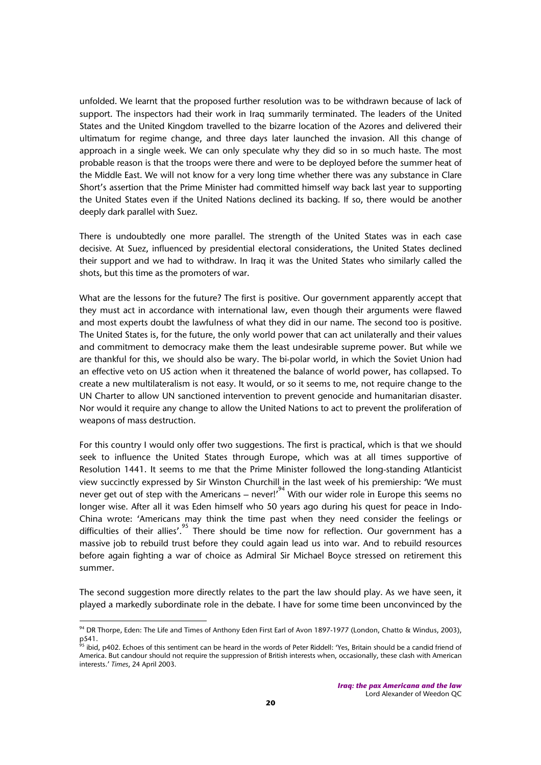unfolded. We learnt that the proposed further resolution was to be withdrawn because of lack of support. The inspectors had their work in Iraq summarily terminated. The leaders of the United States and the United Kingdom travelled to the bizarre location of the Azores and delivered their ultimatum for regime change, and three days later launched the invasion. All this change of approach in a single week. We can only speculate why they did so in so much haste. The most probable reason is that the troops were there and were to be deployed before the summer heat of the Middle East. We will not know for a very long time whether there was any substance in Clare Short's assertion that the Prime Minister had committed himself way back last year to supporting the United States even if the United Nations declined its backing. If so, there would be another deeply dark parallel with Suez.

There is undoubtedly one more parallel. The strength of the United States was in each case decisive. At Suez, influenced by presidential electoral considerations, the United States declined their support and we had to withdraw. In Iraq it was the United States who similarly called the shots, but this time as the promoters of war.

What are the lessons for the future? The first is positive. Our government apparently accept that they must act in accordance with international law, even though their arguments were flawed and most experts doubt the lawfulness of what they did in our name. The second too is positive. The United States is, for the future, the only world power that can act unilaterally and their values and commitment to democracy make them the least undesirable supreme power. But while we are thankful for this, we should also be wary. The bi-polar world, in which the Soviet Union had an effective veto on US action when it threatened the balance of world power, has collapsed. To create a new multilateralism is not easy. It would, or so it seems to me, not require change to the UN Charter to allow UN sanctioned intervention to prevent genocide and humanitarian disaster. Nor would it require any change to allow the United Nations to act to prevent the proliferation of weapons of mass destruction.

For this country I would only offer two suggestions. The first is practical, which is that we should seek to influence the United States through Europe, which was at all times supportive of Resolution 1441. It seems to me that the Prime Minister followed the long-standing Atlanticist view succinctly expressed by Sir Winston Churchill in the last week of his premiership: 'We must never get out of step with the Americans – never!<sup>94</sup> With our wider role in Europe this seems no longer wise. After all it was Eden himself who 50 years ago during his quest for peace in Indo-China wrote: 'Americans may think the time past when they need consider the feelings or difficulties of their allies'.<sup>95</sup> There should be time now for reflection. Our government has a massive job to rebuild trust before they could again lead us into war. And to rebuild resources before again fighting a war of choice as Admiral Sir Michael Boyce stressed on retirement this summer.

The second suggestion more directly relates to the part the law should play. As we have seen, it played a markedly subordinate role in the debate. I have for some time been unconvinced by the

<sup>&</sup>lt;sup>94</sup> DR Thorpe, Eden: The Life and Times of Anthony Eden First Earl of Avon 1897-1977 (London, Chatto & Windus, 2003), p541.

 $^{95}$  ibid, p402. Echoes of this sentiment can be heard in the words of Peter Riddell: 'Yes, Britain should be a candid friend of America. But candour should not require the suppression of British interests when, occasionally, these clash with American interests.' *Times*, 24 April 2003.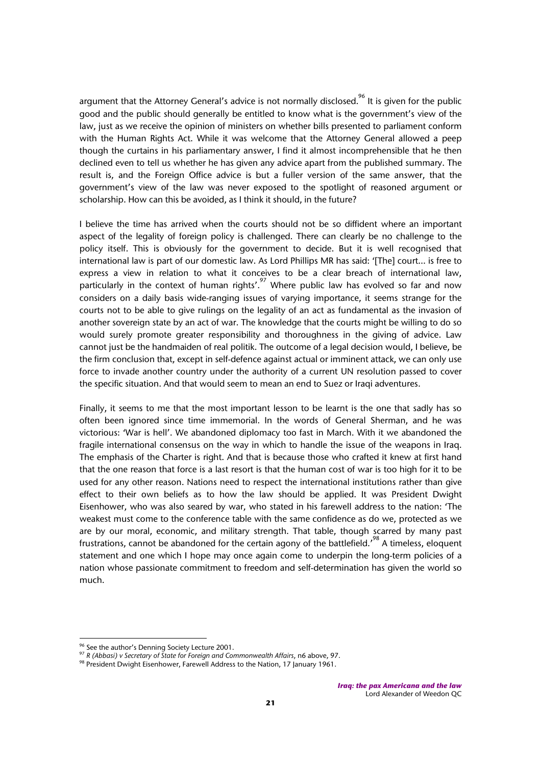argument that the Attorney General's advice is not normally disclosed.<sup>96</sup> It is given for the public good and the public should generally be entitled to know what is the government's view of the law, just as we receive the opinion of ministers on whether bills presented to parliament conform with the Human Rights Act. While it was welcome that the Attorney General allowed a peep though the curtains in his parliamentary answer, I find it almost incomprehensible that he then declined even to tell us whether he has given any advice apart from the published summary. The result is, and the Foreign Office advice is but a fuller version of the same answer, that the government's view of the law was never exposed to the spotlight of reasoned argument or scholarship. How can this be avoided, as I think it should, in the future?

I believe the time has arrived when the courts should not be so diffident where an important aspect of the legality of foreign policy is challenged. There can clearly be no challenge to the policy itself. This is obviously for the government to decide. But it is well recognised that international law is part of our domestic law. As Lord Phillips MR has said: '[The] court… is free to express a view in relation to what it conceives to be a clear breach of international law, particularly in the context of human rights'.<sup>97</sup> Where public law has evolved so far and now considers on a daily basis wide-ranging issues of varying importance, it seems strange for the courts not to be able to give rulings on the legality of an act as fundamental as the invasion of another sovereign state by an act of war. The knowledge that the courts might be willing to do so would surely promote greater responsibility and thoroughness in the giving of advice. Law cannot just be the handmaiden of real politik. The outcome of a legal decision would, I believe, be the firm conclusion that, except in self-defence against actual or imminent attack, we can only use force to invade another country under the authority of a current UN resolution passed to cover the specific situation. And that would seem to mean an end to Suez or Iraqi adventures.

Finally, it seems to me that the most important lesson to be learnt is the one that sadly has so often been ignored since time immemorial. In the words of General Sherman, and he was victorious: 'War is hell'. We abandoned diplomacy too fast in March. With it we abandoned the fragile international consensus on the way in which to handle the issue of the weapons in Iraq. The emphasis of the Charter is right. And that is because those who crafted it knew at first hand that the one reason that force is a last resort is that the human cost of war is too high for it to be used for any other reason. Nations need to respect the international institutions rather than give effect to their own beliefs as to how the law should be applied. It was President Dwight Eisenhower, who was also seared by war, who stated in his farewell address to the nation: 'The weakest must come to the conference table with the same confidence as do we, protected as we are by our moral, economic, and military strength. That table, though scarred by many past frustrations, cannot be abandoned for the certain agony of the battlefield.<sup>98</sup> A timeless, eloquent statement and one which I hope may once again come to underpin the long-term policies of a nation whose passionate commitment to freedom and self-determination has given the world so much.

l

<sup>&</sup>lt;sup>96</sup> See the author's Denning Society Lecture 2001.<br><sup>97</sup> R (Abbasi) v Secretary of State for Foreign and Commonwealth Affairs, n6 above, 97.

<sup>&</sup>lt;sup>98</sup> President Dwight Eisenhower, Farewell Address to the Nation, 17 January 1961.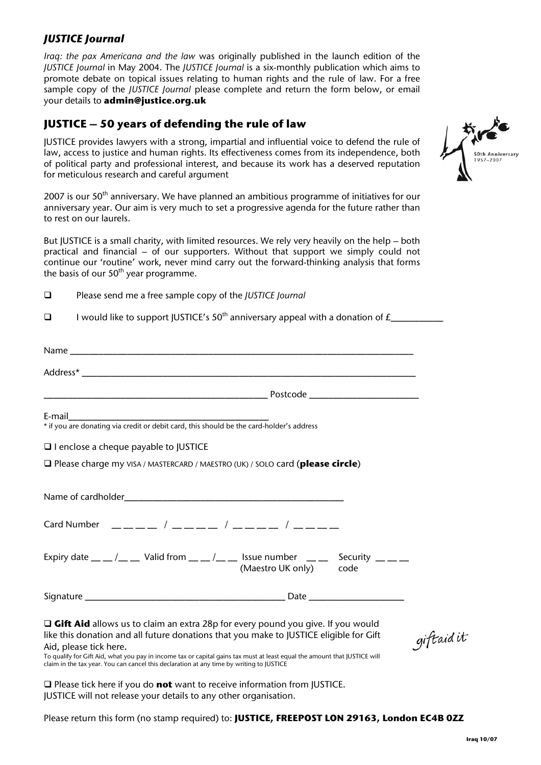# *JUSTICE Journal*

*Iraq: the pax Americana and the law* was originally published in the launch edition of the *JUSTICE Journal* in May 2004. The *JUSTICE Journal* is a six-monthly publication which aims to promote debate on topical issues relating to human rights and the rule of law. For a free sample copy of the *JUSTICE Journal* please complete and return the form below, or email your details to **admin@justice.org.uk**

# **JUSTICE – 50 years of defending the rule of law**

JUSTICE provides lawyers with a strong, impartial and influential voice to defend the rule of law, access to justice and human rights. Its effectiveness comes from its independence, both of political party and professional interest, and because its work has a deserved reputation for meticulous research and careful argument

2007 is our 50<sup>th</sup> anniversary. We have planned an ambitious programme of initiatives for our anniversary year. Our aim is very much to set a progressive agenda for the future rather than to rest on our laurels.

But JUSTICE is a small charity, with limited resources. We rely very heavily on the help – both practical and financial – of our supporters. Without that support we simply could not continue our 'routine' work, never mind carry out the forward-thinking analysis that forms the basis of our  $50<sup>th</sup>$  year programme.

Please send me a free sample copy of the *JUSTICE Journal*

I would like to support JUSTICE's 50th anniversary appeal with a donation of £\_\_\_\_\_\_\_\_\_\_\_

| E-mail<br>* if you are donating via credit or debit card, this should be the card-holder's address                                                                                                                                                                                                                                                                                                                                                  |
|-----------------------------------------------------------------------------------------------------------------------------------------------------------------------------------------------------------------------------------------------------------------------------------------------------------------------------------------------------------------------------------------------------------------------------------------------------|
| $\Box$ I enclose a cheque payable to JUSTICE                                                                                                                                                                                                                                                                                                                                                                                                        |
| Please charge my VISA / MASTERCARD / MAESTRO (UK) / SOLO card (please circle)                                                                                                                                                                                                                                                                                                                                                                       |
|                                                                                                                                                                                                                                                                                                                                                                                                                                                     |
| Card Number $\frac{1}{2}$ $\frac{1}{2}$ $\frac{1}{2}$ $\frac{1}{2}$ $\frac{1}{2}$ $\frac{1}{2}$ $\frac{1}{2}$ $\frac{1}{2}$ $\frac{1}{2}$ $\frac{1}{2}$ $\frac{1}{2}$ $\frac{1}{2}$ $\frac{1}{2}$ $\frac{1}{2}$ $\frac{1}{2}$ $\frac{1}{2}$ $\frac{1}{2}$ $\frac{1}{2}$ $\frac{1}{2}$ $\frac{1}{2}$ $\frac{1}{2}$                                                                                                                                   |
| Expiry date $\_\_/\_\_$ Valid from $\_\_/\_\_$ Issue number $\_\_$ Security $\_\_$<br>(Maestro UK only) code                                                                                                                                                                                                                                                                                                                                        |
|                                                                                                                                                                                                                                                                                                                                                                                                                                                     |
| <b>Q Gift Aid</b> allows us to claim an extra 28p for every pound you give. If you would<br>like this donation and all future donations that you make to JUSTICE eligible for Gift<br>giftaid it<br>Aid, please tick here.<br>To qualify for Gift Aid, what you pay in income tax or capital gains tax must at least equal the amount that JUSTICE will<br>claim in the tax year. You can cancel this declaration at any time by writing to JUSTICE |

 Please tick here if you do **not** want to receive information from JUSTICE. JUSTICE will not release your details to any other organisation.

Please return this form (no stamp required) to: **JUSTICE, FREEPOST LON 29163, London EC4B 0ZZ**